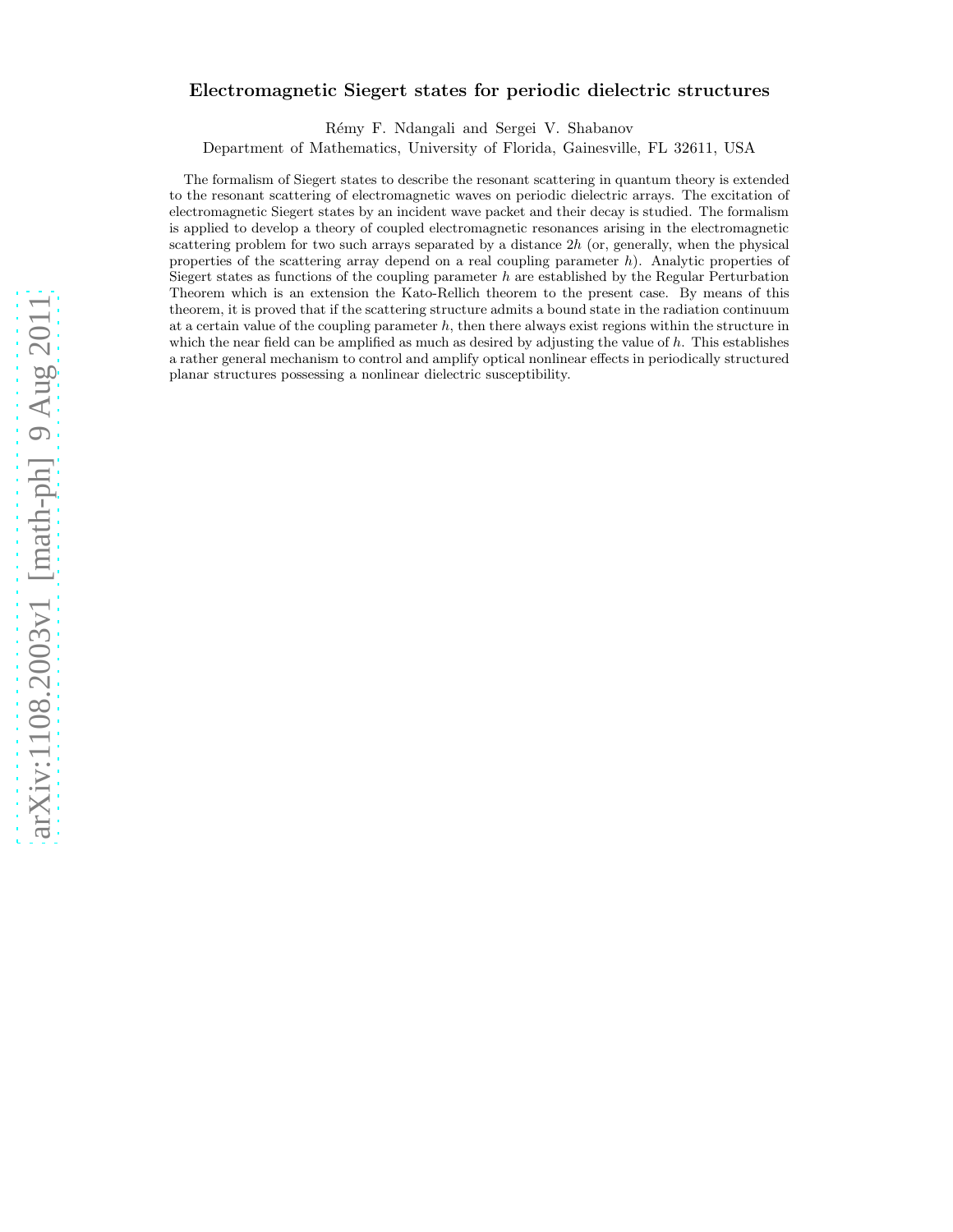# Electromagnetic Siegert states for periodic dielectric structures

R´emy F. Ndangali and Sergei V. Shabanov

Department of Mathematics, University of Florida, Gainesville, FL 32611, USA

The formalism of Siegert states to describe the resonant scattering in quantum theory is extended to the resonant scattering of electromagnetic waves on periodic dielectric arrays. The excitation of electromagnetic Siegert states by an incident wave packet and their decay is studied. The formalism is applied to develop a theory of coupled electromagnetic resonances arising in the electromagnetic scattering problem for two such arrays separated by a distance  $2h$  (or, generally, when the physical properties of the scattering array depend on a real coupling parameter  $h$ ). Analytic properties of Siegert states as functions of the coupling parameter h are established by the Regular Perturbation Theorem which is an extension the Kato-Rellich theorem to the present case. By means of this theorem, it is proved that if the scattering structure admits a bound state in the radiation continuum at a certain value of the coupling parameter  $h$ , then there always exist regions within the structure in which the near field can be amplified as much as desired by adjusting the value of h. This establishes a rather general mechanism to control and amplify optical nonlinear effects in periodically structured planar structures possessing a nonlinear dielectric susceptibility.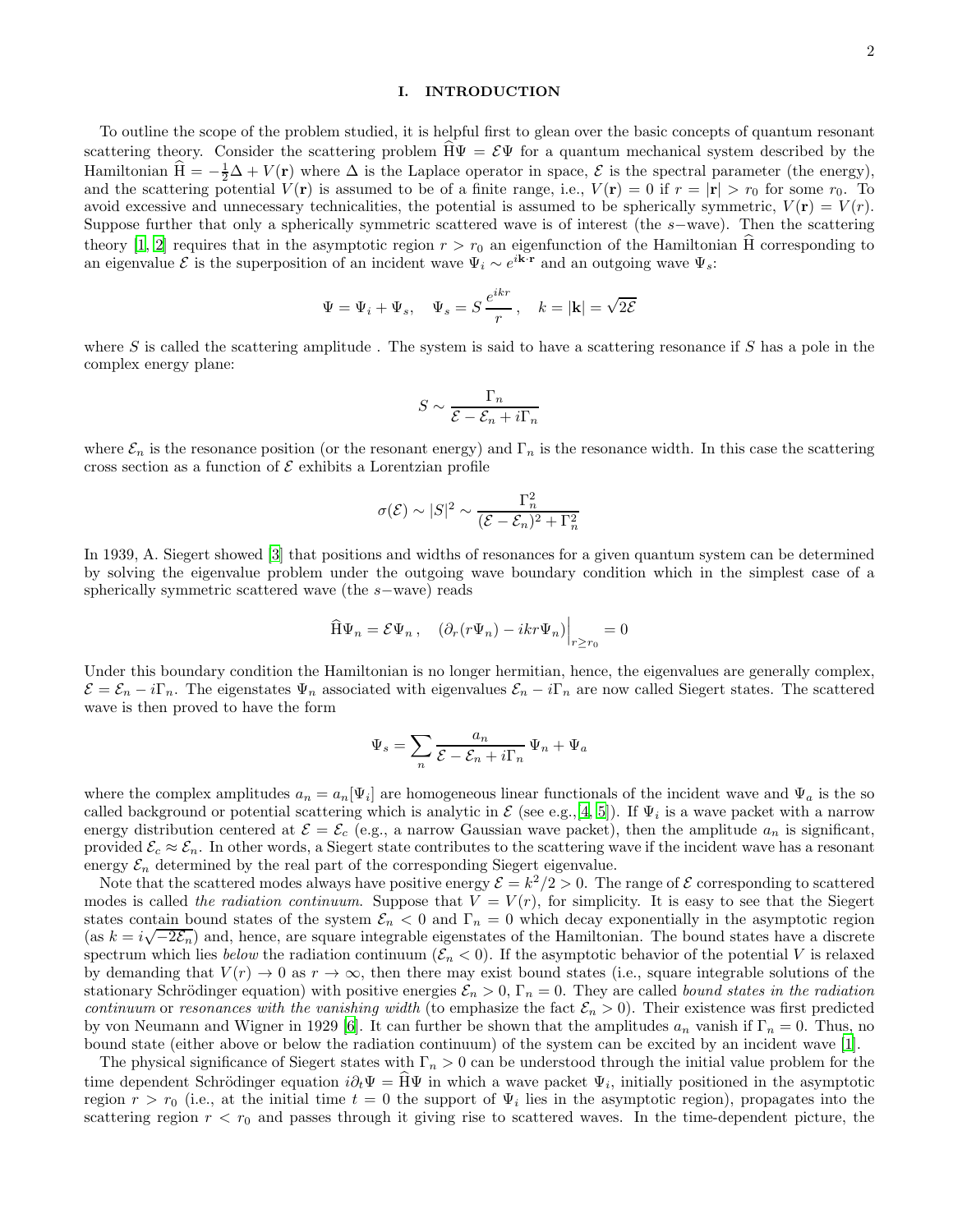## I. INTRODUCTION

To outline the scope of the problem studied, it is helpful first to glean over the basic concepts of quantum resonant scattering theory. Consider the scattering problem  $H\Psi = \mathcal{E}\Psi$  for a quantum mechanical system described by the Hamiltonian  $\hat{H} = -\frac{1}{2}\Delta + V(\mathbf{r})$  where  $\Delta$  is the Laplace operator in space,  $\mathcal{E}$  is the spectral parameter (the energy), and the scattering potential  $V(\mathbf{r})$  is assumed to be of a finite range, i.e.,  $V(\mathbf{r}) = 0$  if  $r = |\mathbf{r}| > r_0$  for some  $r_0$ . To avoid excessive and unnecessary technicalities, the potential is assumed to be spherically symmetric,  $V(\mathbf{r}) = V(r)$ . Suppose further that only a spherically symmetric scattered wave is of interest (the s−wave). Then the scattering theory [\[1](#page-16-0), [2\]](#page-16-1) requires that in the asymptotic region  $r > r_0$  an eigenfunction of the Hamiltonian H corresponding to an eigenvalue  $\mathcal{E}$  is the superposition of an incident wave  $\Psi_i \sim e^{i\mathbf{k}\cdot\mathbf{r}}$  and an outgoing wave  $\Psi_s$ :

$$
\Psi = \Psi_i + \Psi_s, \quad \Psi_s = S \, \frac{e^{ikr}}{r} \, , \quad k = |\mathbf{k}| = \sqrt{2\mathcal{E}}
$$

where S is called the scattering amplitude. The system is said to have a scattering resonance if S has a pole in the complex energy plane:

$$
S \sim \frac{\Gamma_n}{\mathcal{E} - \mathcal{E}_n + i\Gamma_n}
$$

where  $\mathcal{E}_n$  is the resonance position (or the resonant energy) and  $\Gamma_n$  is the resonance width. In this case the scattering cross section as a function of  $\mathcal E$  exhibits a Lorentzian profile

$$
\sigma(\mathcal{E}) \sim |S|^2 \sim \frac{\Gamma_n^2}{(\mathcal{E} - \mathcal{E}_n)^2 + \Gamma_n^2}
$$

In 1939, A. Siegert showed [\[3\]](#page-16-2) that positions and widths of resonances for a given quantum system can be determined by solving the eigenvalue problem under the outgoing wave boundary condition which in the simplest case of a spherically symmetric scattered wave (the s−wave) reads

$$
\widehat{\mathrm{H}}\Psi_n = \mathcal{E}\Psi_n\,,\quad \left(\partial_r(r\Psi_n) - ikr\Psi_n\right)\Big|_{r\geq r_0} = 0
$$

Under this boundary condition the Hamiltonian is no longer hermitian, hence, the eigenvalues are generally complex,  $\mathcal{E} = \mathcal{E}_n - i\Gamma_n$ . The eigenstates  $\Psi_n$  associated with eigenvalues  $\mathcal{E}_n - i\Gamma_n$  are now called Siegert states. The scattered wave is then proved to have the form

$$
\Psi_s = \sum_n \frac{a_n}{\mathcal{E} - \mathcal{E}_n + i\Gamma_n} \Psi_n + \Psi_a
$$

where the complex amplitudes  $a_n = a_n \Psi_i$  are homogeneous linear functionals of the incident wave and  $\Psi_a$  is the so called background or potential scattering which is analytic in  $\mathcal E$  (see e.g.,[\[4](#page-16-3), [5](#page-16-4)]). If  $\Psi_i$  is a wave packet with a narrow energy distribution centered at  $\mathcal{E} = \mathcal{E}_c$  (e.g., a narrow Gaussian wave packet), then the amplitude  $a_n$  is significant, provided  $\mathcal{E}_c \approx \mathcal{E}_n$ . In other words, a Siegert state contributes to the scattering wave if the incident wave has a resonant energy  $\mathcal{E}_n$  determined by the real part of the corresponding Siegert eigenvalue.

Note that the scattered modes always have positive energy  $\mathcal{E} = k^2/2 > 0$ . The range of  $\mathcal E$  corresponding to scattered modes is called the radiation continuum. Suppose that  $V = V(r)$ , for simplicity. It is easy to see that the Siegert states contain bound states of the system  $\mathcal{E}_n < 0$  and  $\Gamma_n = 0$  which decay exponentially in the asymptotic region  $(s_1 k - i_1 \sqrt{-2\mathcal{E}})$  and hence are square integrable eigenstates of the Hamiltonian. The bound states (as  $k = i\sqrt{-2\mathcal{E}_n}$ ) and, hence, are square integrable eigenstates of the Hamiltonian. The bound states have a discrete spectrum which lies below the radiation continuum  $(\mathcal{E}_n < 0)$ . If the asymptotic behavior of the potential V is relaxed by demanding that  $V(r) \to 0$  as  $r \to \infty$ , then there may exist bound states (i.e., square integrable solutions of the stationary Schrödinger equation) with positive energies  $\mathcal{E}_n > 0$ ,  $\Gamma_n = 0$ . They are called bound states in the radiation continuum or resonances with the vanishing width (to emphasize the fact  $\mathcal{E}_n > 0$ ). Their existence was first predicted by von Neumann and Wigner in 1929 [\[6\]](#page-16-5). It can further be shown that the amplitudes  $a_n$  vanish if  $\Gamma_n = 0$ . Thus, no bound state (either above or below the radiation continuum) of the system can be excited by an incident wave [\[1\]](#page-16-0).

The physical significance of Siegert states with  $\Gamma_n > 0$  can be understood through the initial value problem for the time dependent Schrödinger equation  $i\partial_t \Psi = H\Psi$  in which a wave packet  $\Psi_i$ , initially positioned in the asymptotic region  $r > r_0$  (i.e., at the initial time  $t = 0$  the support of  $\Psi_i$  lies in the asymptotic region), propagates into the scattering region  $r < r_0$  and passes through it giving rise to scattered waves. In the time-dependent picture, the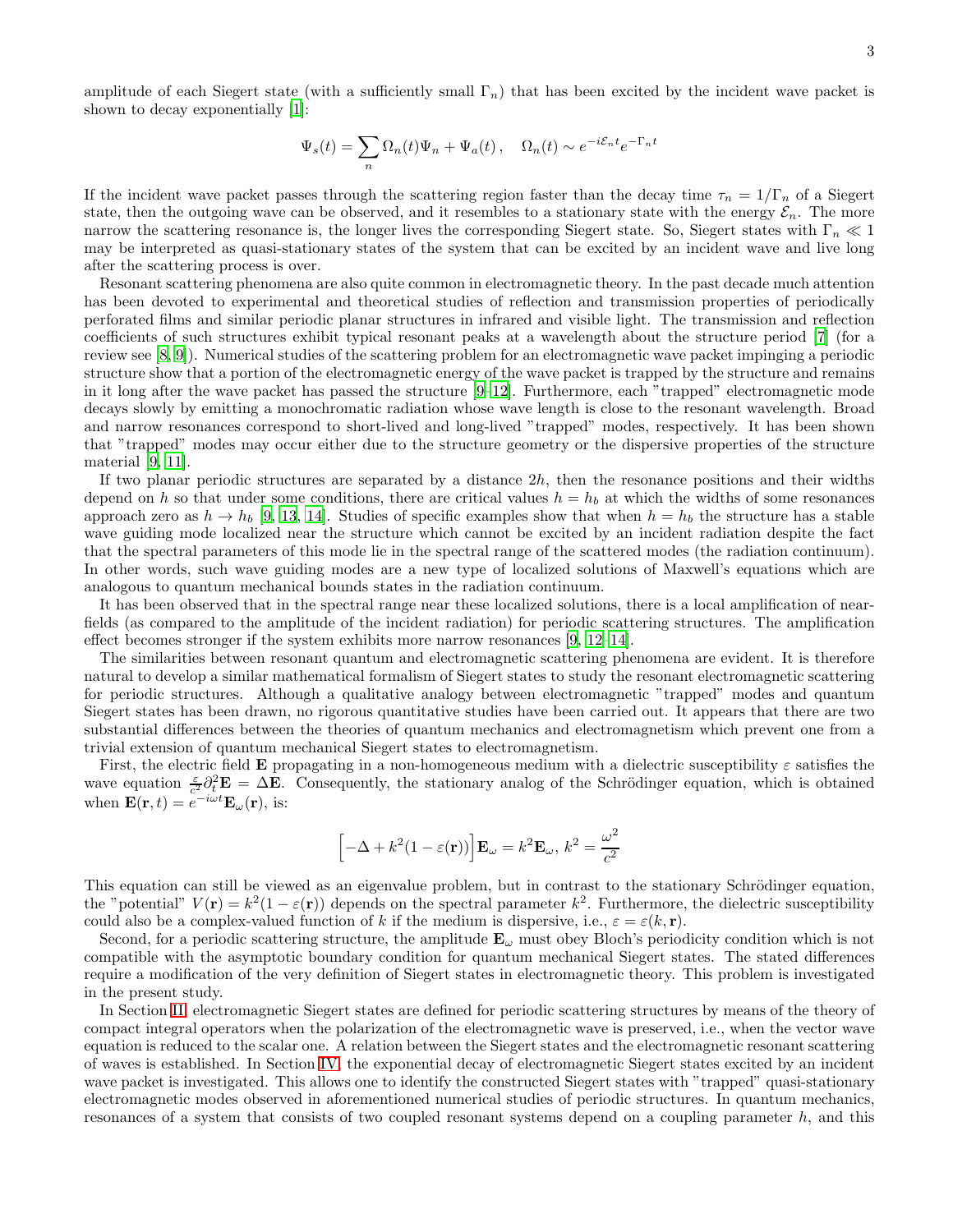amplitude of each Siegert state (with a sufficiently small  $\Gamma_n$ ) that has been excited by the incident wave packet is shown to decay exponentially [\[1](#page-16-0)]:

$$
\Psi_s(t) = \sum_n \Omega_n(t)\Psi_n + \Psi_a(t) \,, \quad \Omega_n(t) \sim e^{-i\mathcal{E}_n t} e^{-\Gamma_n t}
$$

If the incident wave packet passes through the scattering region faster than the decay time  $\tau_n = 1/\Gamma_n$  of a Siegert state, then the outgoing wave can be observed, and it resembles to a stationary state with the energy  $\mathcal{E}_n$ . The more narrow the scattering resonance is, the longer lives the corresponding Siegert state. So, Siegert states with  $\Gamma_n \ll 1$ may be interpreted as quasi-stationary states of the system that can be excited by an incident wave and live long after the scattering process is over.

Resonant scattering phenomena are also quite common in electromagnetic theory. In the past decade much attention has been devoted to experimental and theoretical studies of reflection and transmission properties of periodically perforated films and similar periodic planar structures in infrared and visible light. The transmission and reflection coefficients of such structures exhibit typical resonant peaks at a wavelength about the structure period [\[7](#page-16-6)] (for a review see [\[8,](#page-16-7) [9\]](#page-16-8)). Numerical studies of the scattering problem for an electromagnetic wave packet impinging a periodic structure show that a portion of the electromagnetic energy of the wave packet is trapped by the structure and remains in it long after the wave packet has passed the structure [\[9](#page-16-8)[–12\]](#page-16-9). Furthermore, each "trapped" electromagnetic mode decays slowly by emitting a monochromatic radiation whose wave length is close to the resonant wavelength. Broad and narrow resonances correspond to short-lived and long-lived "trapped" modes, respectively. It has been shown that "trapped" modes may occur either due to the structure geometry or the dispersive properties of the structure material [\[9](#page-16-8), [11](#page-16-10)].

If two planar periodic structures are separated by a distance  $2h$ , then the resonance positions and their widths depend on h so that under some conditions, there are critical values  $h = h_b$  at which the widths of some resonances approach zero as  $h \to h_b$  [\[9](#page-16-8), [13,](#page-16-11) [14](#page-16-12)]. Studies of specific examples show that when  $h = h_b$  the structure has a stable wave guiding mode localized near the structure which cannot be excited by an incident radiation despite the fact that the spectral parameters of this mode lie in the spectral range of the scattered modes (the radiation continuum). In other words, such wave guiding modes are a new type of localized solutions of Maxwell's equations which are analogous to quantum mechanical bounds states in the radiation continuum.

It has been observed that in the spectral range near these localized solutions, there is a local amplification of nearfields (as compared to the amplitude of the incident radiation) for periodic scattering structures. The amplification effect becomes stronger if the system exhibits more narrow resonances [\[9](#page-16-8), [12](#page-16-9)[–14](#page-16-12)].

The similarities between resonant quantum and electromagnetic scattering phenomena are evident. It is therefore natural to develop a similar mathematical formalism of Siegert states to study the resonant electromagnetic scattering for periodic structures. Although a qualitative analogy between electromagnetic "trapped" modes and quantum Siegert states has been drawn, no rigorous quantitative studies have been carried out. It appears that there are two substantial differences between the theories of quantum mechanics and electromagnetism which prevent one from a trivial extension of quantum mechanical Siegert states to electromagnetism.

First, the electric field **E** propagating in a non-homogeneous medium with a dielectric susceptibility  $\varepsilon$  satisfies the wave equation  $\frac{\varepsilon}{c^2} \partial_t^2 \mathbf{E} = \Delta \mathbf{E}$ . Consequently, the stationary analog of the Schrödinger equation, which is obtained when  $\mathbf{E}(\mathbf{r},t) = e^{-i\omega t} \mathbf{E}_{\omega}(\mathbf{r}),$  is:

$$
\[-\Delta + k^2(1 - \varepsilon(\mathbf{r}))\right] \mathbf{E}_{\omega} = k^2 \mathbf{E}_{\omega}, \, k^2 = \frac{\omega^2}{c^2}
$$

This equation can still be viewed as an eigenvalue problem, but in contrast to the stationary Schrödinger equation, the "potential"  $V(\mathbf{r}) = k^2(1 - \varepsilon(\mathbf{r}))$  depends on the spectral parameter  $k^2$ . Furthermore, the dielectric susceptibility could also be a complex-valued function of k if the medium is dispersive, i.e.,  $\varepsilon = \varepsilon(k, \mathbf{r})$ .

Second, for a periodic scattering structure, the amplitude  $\mathbf{E}_{\omega}$  must obey Bloch's periodicity condition which is not compatible with the asymptotic boundary condition for quantum mechanical Siegert states. The stated differences require a modification of the very definition of Siegert states in electromagnetic theory. This problem is investigated in the present study.

In Section [II,](#page-3-0) electromagnetic Siegert states are defined for periodic scattering structures by means of the theory of compact integral operators when the polarization of the electromagnetic wave is preserved, i.e., when the vector wave equation is reduced to the scalar one. A relation between the Siegert states and the electromagnetic resonant scattering of waves is established. In Section [IV,](#page-11-0) the exponential decay of electromagnetic Siegert states excited by an incident wave packet is investigated. This allows one to identify the constructed Siegert states with "trapped" quasi-stationary electromagnetic modes observed in aforementioned numerical studies of periodic structures. In quantum mechanics, resonances of a system that consists of two coupled resonant systems depend on a coupling parameter  $h$ , and this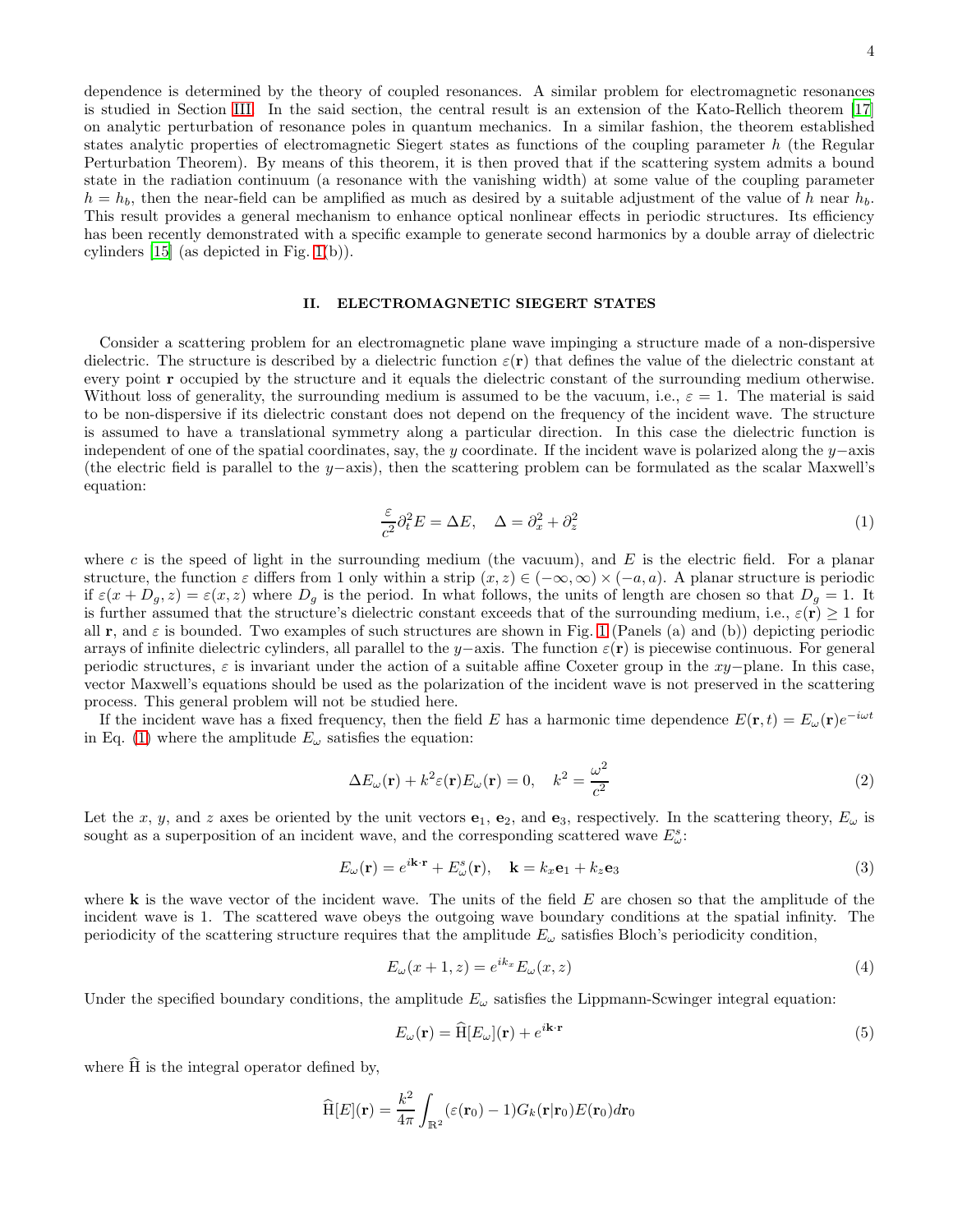dependence is determined by the theory of coupled resonances. A similar problem for electromagnetic resonances is studied in Section [III.](#page-7-0) In the said section, the central result is an extension of the Kato-Rellich theorem [\[17](#page-16-13)] on analytic perturbation of resonance poles in quantum mechanics. In a similar fashion, the theorem established states analytic properties of electromagnetic Siegert states as functions of the coupling parameter h (the Regular Perturbation Theorem). By means of this theorem, it is then proved that if the scattering system admits a bound state in the radiation continuum (a resonance with the vanishing width) at some value of the coupling parameter  $h = h_b$ , then the near-field can be amplified as much as desired by a suitable adjustment of the value of h near  $h_b$ . This result provides a general mechanism to enhance optical nonlinear effects in periodic structures. Its efficiency has been recently demonstrated with a specific example to generate second harmonics by a double array of dielectric cylinders [\[15\]](#page-16-14) (as depicted in Fig. [1\(](#page-4-0)b)).

### <span id="page-3-0"></span>II. ELECTROMAGNETIC SIEGERT STATES

Consider a scattering problem for an electromagnetic plane wave impinging a structure made of a non-dispersive dielectric. The structure is described by a dielectric function  $\varepsilon(\mathbf{r})$  that defines the value of the dielectric constant at every point r occupied by the structure and it equals the dielectric constant of the surrounding medium otherwise. Without loss of generality, the surrounding medium is assumed to be the vacuum, i.e.,  $\varepsilon = 1$ . The material is said to be non-dispersive if its dielectric constant does not depend on the frequency of the incident wave. The structure is assumed to have a translational symmetry along a particular direction. In this case the dielectric function is independent of one of the spatial coordinates, say, the y coordinate. If the incident wave is polarized along the y−axis (the electric field is parallel to the y–axis), then the scattering problem can be formulated as the scalar Maxwell's equation:

<span id="page-3-1"></span>
$$
\frac{\varepsilon}{c^2} \partial_t^2 E = \Delta E, \quad \Delta = \partial_x^2 + \partial_z^2 \tag{1}
$$

where c is the speed of light in the surrounding medium (the vacuum), and E is the electric field. For a planar structure, the function  $\varepsilon$  differs from 1 only within a strip  $(x, z) \in (-\infty, \infty) \times (-a, a)$ . A planar structure is periodic if  $\varepsilon(x + D_g, z) = \varepsilon(x, z)$  where  $D_g$  is the period. In what follows, the units of length are chosen so that  $D_g = 1$ . It is further assumed that the structure's dielectric constant exceeds that of the surrounding medium, i.e.,  $\varepsilon(\mathbf{r}) \geq 1$  for all r, and  $\varepsilon$  is bounded. Two examples of such structures are shown in Fig. [1](#page-4-0) (Panels (a) and (b)) depicting periodic arrays of infinite dielectric cylinders, all parallel to the y–axis. The function  $\varepsilon(\mathbf{r})$  is piecewise continuous. For general periodic structures, ε is invariant under the action of a suitable affine Coxeter group in the xy−plane. In this case, vector Maxwell's equations should be used as the polarization of the incident wave is not preserved in the scattering process. This general problem will not be studied here.

If the incident wave has a fixed frequency, then the field E has a harmonic time dependence  $E(\mathbf{r},t) = E_{\omega}(\mathbf{r})e^{-i\omega t}$ in Eq. [\(1\)](#page-3-1) where the amplitude  $E_{\omega}$  satisfies the equation:

<span id="page-3-4"></span>
$$
\Delta E_{\omega}(\mathbf{r}) + k^2 \varepsilon(\mathbf{r}) E_{\omega}(\mathbf{r}) = 0, \quad k^2 = \frac{\omega^2}{c^2}
$$
\n(2)

Let the x, y, and z axes be oriented by the unit vectors  $e_1$ ,  $e_2$ , and  $e_3$ , respectively. In the scattering theory,  $E_\omega$  is sought as a superposition of an incident wave, and the corresponding scattered wave  $E^s_{\omega}$ :

<span id="page-3-5"></span>
$$
E_{\omega}(\mathbf{r}) = e^{i\mathbf{k}\cdot\mathbf{r}} + E_{\omega}^{s}(\mathbf{r}), \quad \mathbf{k} = k_{x}\mathbf{e}_{1} + k_{z}\mathbf{e}_{3}
$$
\n(3)

where  $k$  is the wave vector of the incident wave. The units of the field  $E$  are chosen so that the amplitude of the incident wave is 1. The scattered wave obeys the outgoing wave boundary conditions at the spatial infinity. The periodicity of the scattering structure requires that the amplitude  $E_{\omega}$  satisfies Bloch's periodicity condition,

<span id="page-3-3"></span>
$$
E_{\omega}(x+1,z) = e^{ik_x} E_{\omega}(x,z)
$$
\n(4)

Under the specified boundary conditions, the amplitude  $E_{\omega}$  satisfies the Lippmann-Scwinger integral equation:

<span id="page-3-2"></span>
$$
E_{\omega}(\mathbf{r}) = \widehat{\mathbf{H}}[E_{\omega}](\mathbf{r}) + e^{i\mathbf{k}\cdot\mathbf{r}} \tag{5}
$$

where  $\widehat{H}$  is the integral operator defined by,

$$
\widehat{\mathrm{H}}[E](\mathbf{r}) = \frac{k^2}{4\pi} \int_{\mathbb{R}^2} (\varepsilon(\mathbf{r}_0) - 1) G_k(\mathbf{r}|\mathbf{r}_0) E(\mathbf{r}_0) d\mathbf{r}_0
$$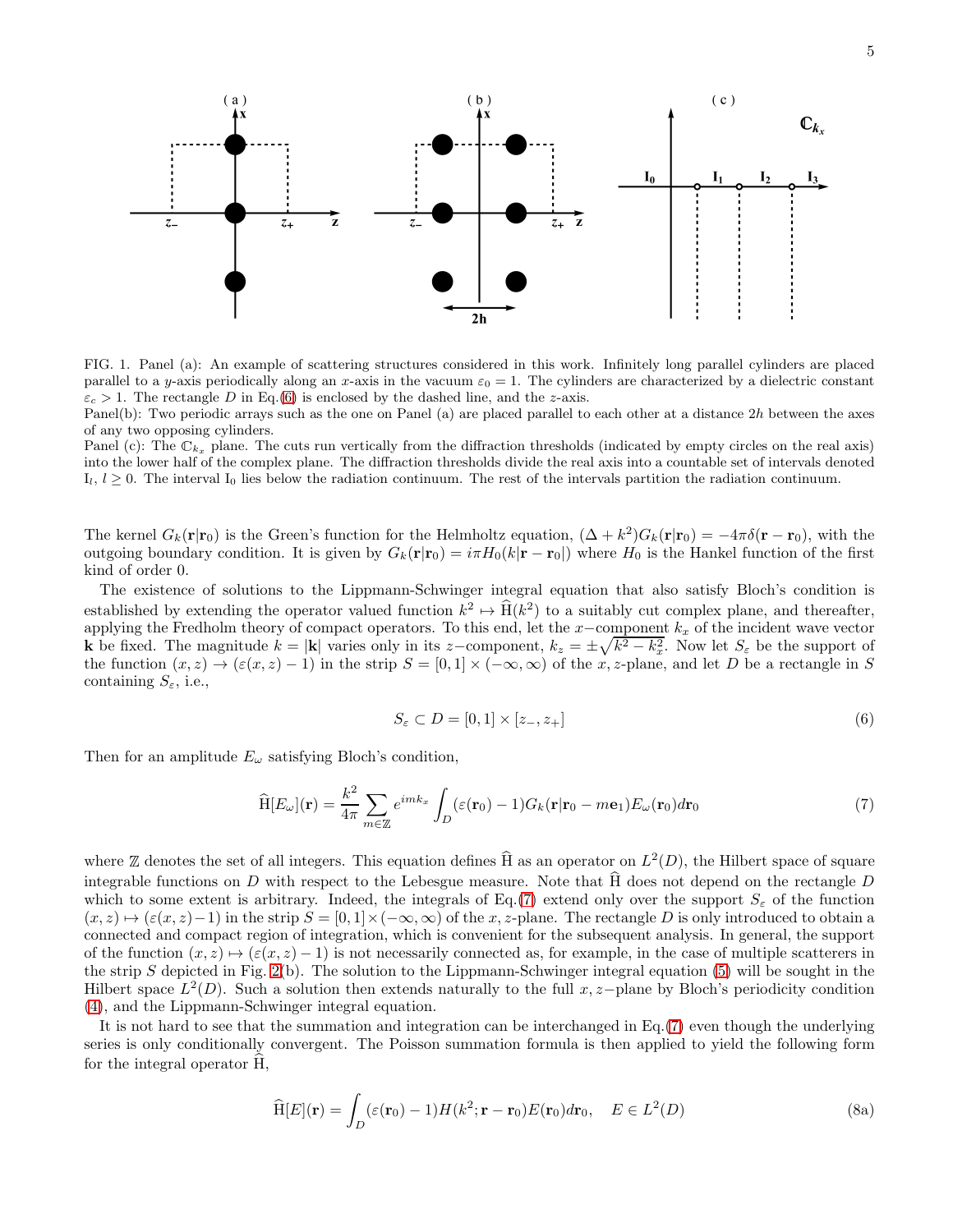

<span id="page-4-0"></span>FIG. 1. Panel (a): An example of scattering structures considered in this work. Infinitely long parallel cylinders are placed parallel to a y-axis periodically along an x-axis in the vacuum  $\varepsilon_0 = 1$ . The cylinders are characterized by a dielectric constant  $\varepsilon_c > 1$ . The rectangle D in Eq.[\(6\)](#page-4-1) is enclosed by the dashed line, and the z-axis.

Panel(b): Two periodic arrays such as the one on Panel (a) are placed parallel to each other at a distance 2h between the axes of any two opposing cylinders.

Panel (c): The  $\mathbb{C}_{k_x}$  plane. The cuts run vertically from the diffraction thresholds (indicated by empty circles on the real axis) into the lower half of the complex plane. The diffraction thresholds divide the real axis into a countable set of intervals denoted I<sub>l</sub>,  $l \geq 0$ . The interval I<sub>0</sub> lies below the radiation continuum. The rest of the intervals partition the radiation continuum.

The kernel  $G_k(\mathbf{r}|\mathbf{r}_0)$  is the Green's function for the Helmholtz equation,  $(\Delta + k^2)G_k(\mathbf{r}|\mathbf{r}_0) = -4\pi\delta(\mathbf{r} - \mathbf{r}_0)$ , with the outgoing boundary condition. It is given by  $G_k(\mathbf{r}|\mathbf{r}_0) = i\pi H_0(k|\mathbf{r} - \mathbf{r}_0|)$  where  $H_0$  is the Hankel function of the first kind of order 0.

The existence of solutions to the Lippmann-Schwinger integral equation that also satisfy Bloch's condition is established by extending the operator valued function  $k^2 \mapsto \hat{H}(k^2)$  to a suitably cut complex plane, and thereafter, applying the Fredholm theory of compact operators. To this end, let the x–component  $k_x$  of the incident wave vector k be fixed. The magnitude  $k = |\mathbf{k}|$  varies only in its z-component,  $k_z = \pm \sqrt{k^2 - k_x^2}$ . Now let  $S_\varepsilon$  be the support of the function  $(x, z) \to (\varepsilon(x, z) - 1)$  in the strip  $S = [0, 1] \times (-\infty, \infty)$  of the x, z-plane, and let D be a rectangle in S containing  $S_{\varepsilon}$ , i.e.,

<span id="page-4-1"></span>
$$
S_{\varepsilon} \subset D = [0,1] \times [z_-, z_+]
$$
 (6)

Then for an amplitude  $E_{\omega}$  satisfying Bloch's condition,

<span id="page-4-2"></span>
$$
\widehat{H}[E_{\omega}](\mathbf{r}) = \frac{k^2}{4\pi} \sum_{m \in \mathbb{Z}} e^{imk_x} \int_D (\varepsilon(\mathbf{r}_0) - 1) G_k(\mathbf{r}|\mathbf{r}_0 - m\mathbf{e}_1) E_{\omega}(\mathbf{r}_0) d\mathbf{r}_0 \tag{7}
$$

where  $\mathbb Z$  denotes the set of all integers. This equation defines  $\hat{H}$  as an operator on  $L^2(D)$ , the Hilbert space of square integrable functions on D with respect to the Lebesgue measure. Note that  $\widehat{H}$  does not depend on the rectangle D which to some extent is arbitrary. Indeed, the integrals of Eq.[\(7\)](#page-4-2) extend only over the support  $S_{\epsilon}$  of the function  $(x, z) \mapsto (\varepsilon(x, z)-1)$  in the strip  $S = [0, 1] \times (-\infty, \infty)$  of the x, z-plane. The rectangle D is only introduced to obtain a connected and compact region of integration, which is convenient for the subsequent analysis. In general, the support of the function  $(x, z) \mapsto (\varepsilon(x, z) - 1)$  is not necessarily connected as, for example, in the case of multiple scatterers in the strip S depicted in Fig. [2\(](#page-13-0)b). The solution to the Lippmann-Schwinger integral equation [\(5\)](#page-3-2) will be sought in the Hilbert space  $L^2(D)$ . Such a solution then extends naturally to the full x, z-plane by Bloch's periodicity condition [\(4\)](#page-3-3), and the Lippmann-Schwinger integral equation.

It is not hard to see that the summation and integration can be interchanged in Eq.[\(7\)](#page-4-2) even though the underlying series is only conditionally convergent. The Poisson summation formula is then applied to yield the following form for the integral operator H, b

<span id="page-4-3"></span>
$$
\widehat{\mathcal{H}}[E](\mathbf{r}) = \int_D (\varepsilon(\mathbf{r}_0) - 1) H(k^2; \mathbf{r} - \mathbf{r}_0) E(\mathbf{r}_0) d\mathbf{r}_0, \quad E \in L^2(D)
$$
\n(8a)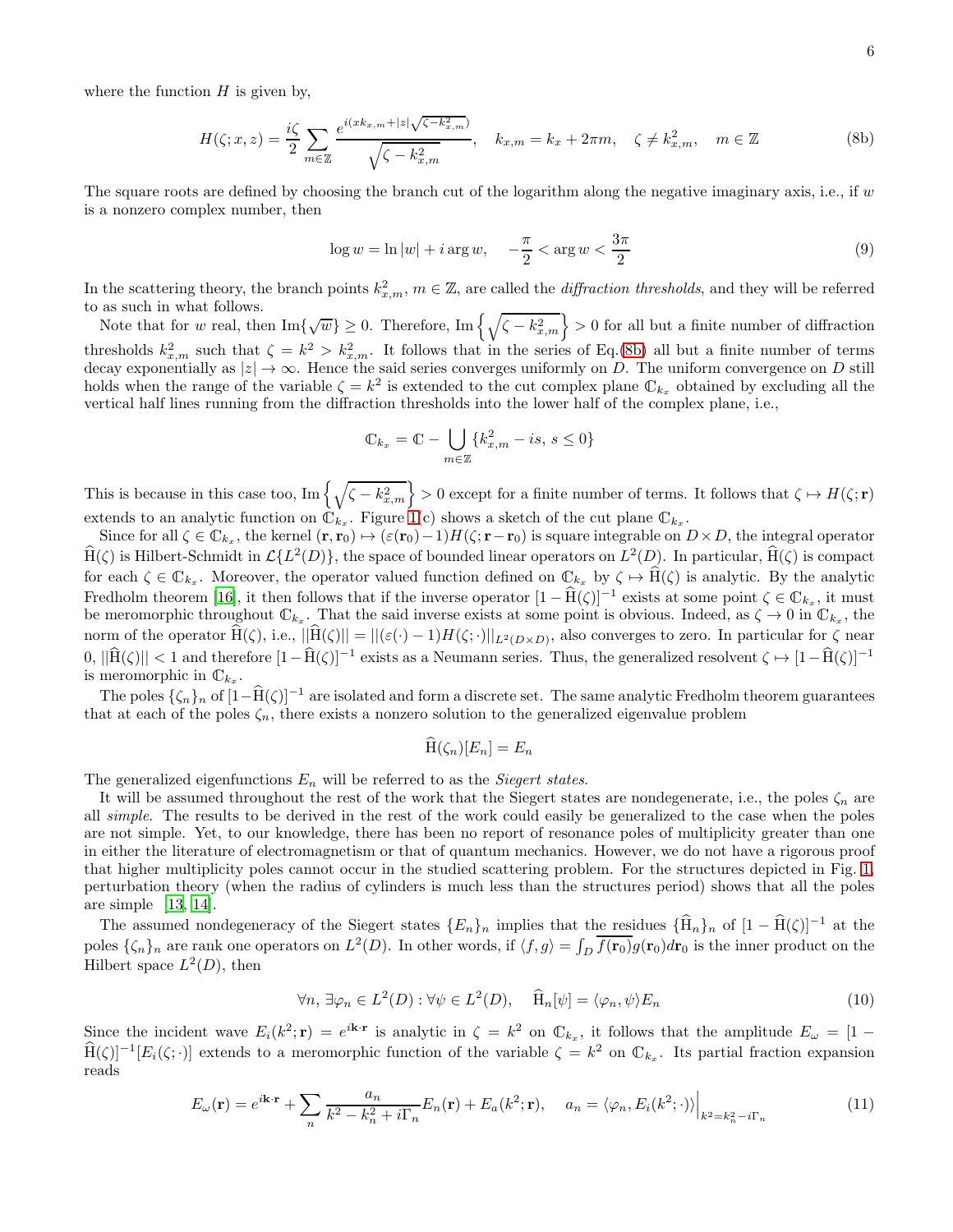where the function  $H$  is given by,

<span id="page-5-0"></span>
$$
H(\zeta; x, z) = \frac{i\zeta}{2} \sum_{m \in \mathbb{Z}} \frac{e^{i(xk_{x,m} + |z|\sqrt{\zeta - k_{x,m}^2})}}{\sqrt{\zeta - k_{x,m}^2}}, \quad k_{x,m} = k_x + 2\pi m, \quad \zeta \neq k_{x,m}^2, \quad m \in \mathbb{Z}
$$
 (8b)

The square roots are defined by choosing the branch cut of the logarithm along the negative imaginary axis, i.e., if  $w$ is a nonzero complex number, then

<span id="page-5-3"></span>
$$
\log w = \ln|w| + i\arg w, \quad -\frac{\pi}{2} < \arg w < \frac{3\pi}{2} \tag{9}
$$

In the scattering theory, the branch points  $k_{x,m}^2$ ,  $m \in \mathbb{Z}$ , are called the *diffraction thresholds*, and they will be referred to as such in what follows.

Note that for w real, then Im{ $\sqrt{w}$ }  $\geq 0$ . Therefore, Im $\left\{\sqrt{\zeta - k_{x,m}^2}\right\} > 0$  for all but a finite number of diffraction thresholds  $k_{x,m}^2$  such that  $\zeta = k^2 > k_{x,m}^2$ . It follows that in the series of Eq.[\(8b\)](#page-5-0) all but a finite number of terms decay exponentially as  $|z| \to \infty$ . Hence the said series converges uniformly on D. The uniform convergence on D still holds when the range of the variable  $\zeta = k^2$  is extended to the cut complex plane  $\mathbb{C}_{k_x}$  obtained by excluding all the vertical half lines running from the diffraction thresholds into the lower half of the complex plane, i.e.,

$$
\mathbb{C}_{k_x} = \mathbb{C} - \bigcup_{m \in \mathbb{Z}} \{k_{x,m}^2 - is, \, s \le 0\}
$$

This is because in this case too,  $\text{Im}\left\{\sqrt{\zeta - k_{x,m}^2}\right\} > 0$  except for a finite number of terms. It follows that  $\zeta \mapsto H(\zeta; \mathbf{r})$ extends to an analytic function on  $\mathbb{C}_{k_x}$ . Figure [1\(](#page-4-0)c) shows a sketch of the cut plane  $\mathbb{C}_{k_x}$ .

Since for all  $\zeta \in \mathbb{C}_{k_x}$ , the kernel  $(\mathbf{r}, \mathbf{r}_0) \mapsto (\varepsilon(\mathbf{r}_0) - 1)H(\zeta; \mathbf{r} - \mathbf{r}_0)$  is square integrable on  $D \times D$ , the integral operator  $\hat{H}(\zeta)$  is Hilbert-Schmidt in  $\mathcal{L}\{L^2(D)\}\,$ , the space of bounded linear operators on  $L^2(D)$ . In particular,  $\hat{H}(\zeta)$  is compact for each  $\zeta \in \mathbb{C}_{k_x}$ . Moreover, the operator valued function defined on  $\mathbb{C}_{k_x}$  by  $\zeta \mapsto \text{H}(\zeta)$  is analytic. By the analytic Fredholm theorem [\[16\]](#page-16-15), it then follows that if the inverse operator  $[1 - \hat{H}(\zeta)]^{-1}$  exists at some point  $\zeta \in \mathbb{C}_{k_x}$ , it must be meromorphic throughout  $\mathbb{C}_{k_x}$ . That the said inverse exists at some point is obvious. Indeed, as  $\zeta \to 0$  in  $\mathbb{C}_{k_x}$ , the norm of the operator  $H(\zeta)$ , i.e.,  $||H(\zeta)|| = ||(\varepsilon(\cdot) - 1)H(\zeta(\cdot)||_{L^2(D \times D)}$ , also converges to zero. In particular for  $\zeta$  near  $0, \|\hat{H}(\zeta)\| < 1$  and therefore  $[1-\hat{H}(\zeta)]^{-1}$  exists as a Neumann series. Thus, the generalized resolvent  $\zeta \mapsto [1-\hat{H}(\zeta)]^{-1}$ is meromorphic in  $\mathbb{C}_{k_x}$ .

The poles  $\{\zeta_n\}_n$  of  $[1-\widehat{H}(\zeta)]^{-1}$  are isolated and form a discrete set. The same analytic Fredholm theorem guarantees that at each of the poles  $\zeta_n$ , there exists a nonzero solution to the generalized eigenvalue problem

$$
\widehat{\mathrm{H}}(\zeta_n)[E_n] = E_n
$$

The generalized eigenfunctions  $E_n$  will be referred to as the *Siegert states*.

It will be assumed throughout the rest of the work that the Siegert states are nondegenerate, i.e., the poles  $\zeta_n$  are all simple. The results to be derived in the rest of the work could easily be generalized to the case when the poles are not simple. Yet, to our knowledge, there has been no report of resonance poles of multiplicity greater than one in either the literature of electromagnetism or that of quantum mechanics. However, we do not have a rigorous proof that higher multiplicity poles cannot occur in the studied scattering problem. For the structures depicted in Fig. [1,](#page-4-0) perturbation theory (when the radius of cylinders is much less than the structures period) shows that all the poles are simple [\[13,](#page-16-11) [14\]](#page-16-12).

The assumed nondegeneracy of the Siegert states  ${E_n}_n$  implies that the residues  ${\{\widehat{H}_n\}}_n$  of  $[1 - \widehat{H}(\zeta)]^{-1}$  at the poles  $\{\zeta_n\}_n$  are rank one operators on  $L^2(D)$ . In other words, if  $\langle f, g \rangle = \int_D \overline{f(\mathbf{r}_0)} g(\mathbf{r}_0) d\mathbf{r}_0$  is the inner product on the Hilbert space  $L^2(D)$ , then

<span id="page-5-1"></span>
$$
\forall n, \exists \varphi_n \in L^2(D) : \forall \psi \in L^2(D), \quad \widehat{H}_n[\psi] = \langle \varphi_n, \psi \rangle E_n \tag{10}
$$

Since the incident wave  $E_i(k^2; \mathbf{r}) = e^{i\mathbf{k} \cdot \mathbf{r}}$  is analytic in  $\zeta = k^2$  on  $\mathbb{C}_{k_x}$ , it follows that the amplitude  $E_{\omega} = [1 - \mathbb{C}_{k_x}]$  $\widehat{H}(\zeta)^{-1}[E_i(\zeta;\cdot)]$  extends to a meromorphic function of the variable  $\zeta = k^2$  on  $\mathbb{C}_{k_x}$ . Its partial fraction expansion reads

<span id="page-5-2"></span>
$$
E_{\omega}(\mathbf{r}) = e^{i\mathbf{k}\cdot\mathbf{r}} + \sum_{n} \frac{a_{n}}{k^{2} - k_{n}^{2} + i\Gamma_{n}} E_{n}(\mathbf{r}) + E_{a}(k^{2}; \mathbf{r}), \quad a_{n} = \langle \varphi_{n}, E_{i}(k^{2}; \cdot) \rangle \Big|_{k^{2} = k_{n}^{2} - i\Gamma_{n}}
$$
(11)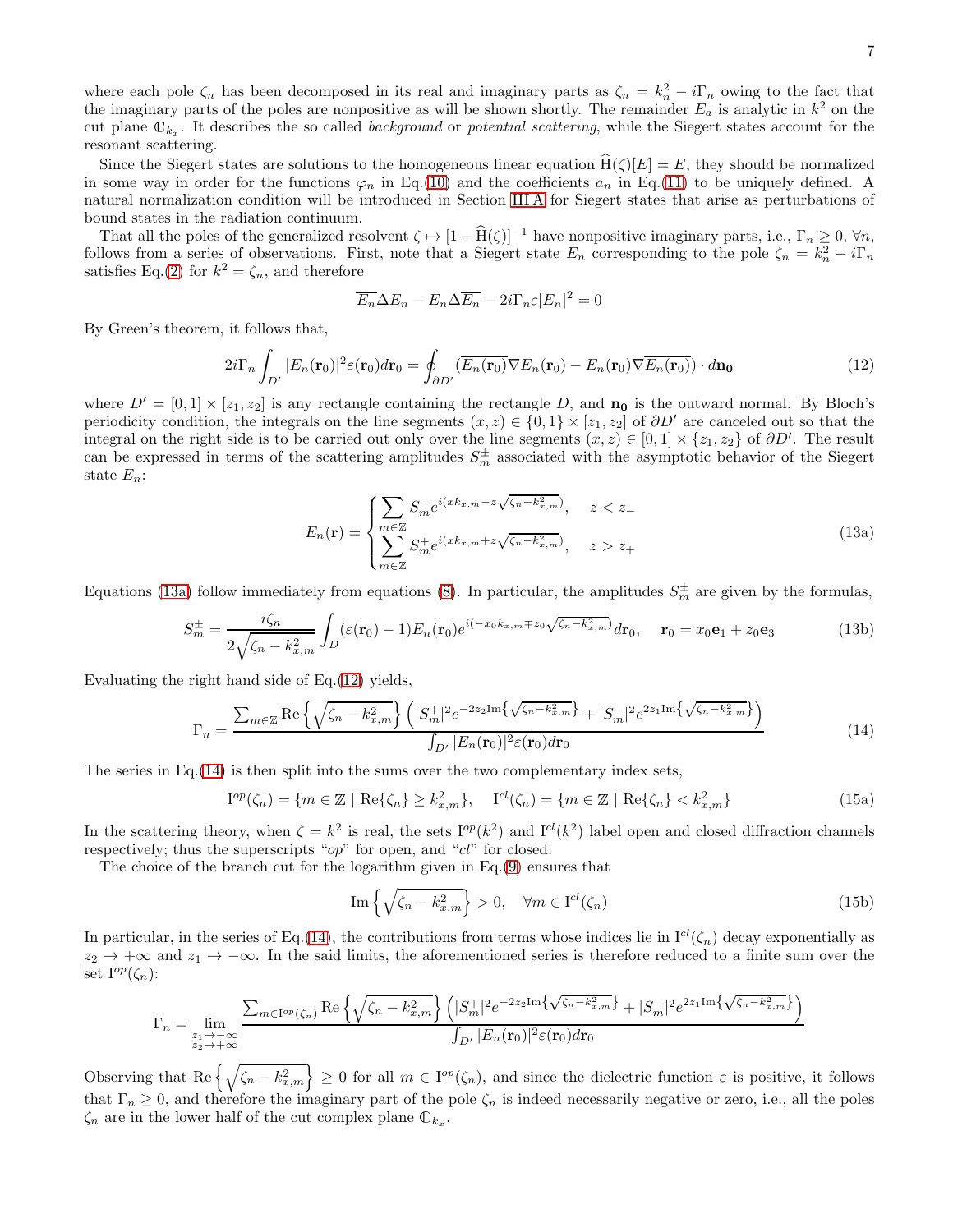where each pole  $\zeta_n$  has been decomposed in its real and imaginary parts as  $\zeta_n = k_n^2 - i\Gamma_n$  owing to the fact that the imaginary parts of the poles are nonpositive as will be shown shortly. The remainder  $E_a$  is analytic in  $k^2$  on the cut plane  $\mathbb{C}_{k_x}$ . It describes the so called *background* or *potential scattering*, while the Siegert states account for the resonant scattering.

Since the Siegert states are solutions to the homogeneous linear equation  $H(\zeta)[E] = E$ , they should be normalized in some way in order for the functions  $\varphi_n$  in Eq.[\(10\)](#page-5-1) and the coefficients  $a_n$  in Eq.[\(11\)](#page-5-2) to be uniquely defined. A natural normalization condition will be introduced in Section [III A](#page-7-1) for Siegert states that arise as perturbations of bound states in the radiation continuum.

That all the poles of the generalized resolvent  $\zeta \mapsto [1 - \hat{H}(\zeta)]^{-1}$  have nonpositive imaginary parts, i.e.,  $\Gamma_n \geq 0$ ,  $\forall n$ , follows from a series of observations. First, note that a Siegert state  $E_n$  corresponding to the pole  $\zeta_n = k_n^2 - i\Gamma_n$ satisfies Eq.[\(2\)](#page-3-4) for  $k^2 = \zeta_n$ , and therefore

$$
\overline{E_n}\Delta E_n - E_n \Delta \overline{E_n} - 2i\Gamma_n \varepsilon |E_n|^2 = 0
$$

By Green's theorem, it follows that,

<span id="page-6-1"></span>
$$
2i\Gamma_n \int_{D'} |E_n(\mathbf{r}_0)|^2 \varepsilon(\mathbf{r}_0) d\mathbf{r}_0 = \oint_{\partial D'} (\overline{E_n(\mathbf{r}_0)} \nabla E_n(\mathbf{r}_0) - E_n(\mathbf{r}_0) \nabla \overline{E_n(\mathbf{r}_0)}) \cdot d\mathbf{n_0}
$$
(12)

<span id="page-6-3"></span>where  $D' = [0, 1] \times [z_1, z_2]$  is any rectangle containing the rectangle D, and  $\mathbf{n}_0$  is the outward normal. By Bloch's periodicity condition, the integrals on the line segments  $(x, z) \in \{0, 1\} \times [z_1, z_2]$  of  $\partial D'$  are canceled out so that the integral on the right side is to be carried out only over the line segments  $(x, z) \in [0, 1] \times \{z_1, z_2\}$  of  $\partial D'$ . The result can be expressed in terms of the scattering amplitudes  $S_m^{\pm}$  associated with the asymptotic behavior of the Siegert state  $E_n$ :

<span id="page-6-0"></span>
$$
E_n(\mathbf{r}) = \begin{cases} \sum_{m \in \mathbb{Z}} S_m^- e^{i(xk_{x,m} - z\sqrt{\zeta_n - k_{x,m}^2})}, & z < z_-\\ \sum_{m \in \mathbb{Z}} S_m^+ e^{i(xk_{x,m} + z\sqrt{\zeta_n - k_{x,m}^2})}, & z > z_+ \end{cases} \tag{13a}
$$

Equations [\(13a\)](#page-6-0) follow immediately from equations [\(8\)](#page-4-3). In particular, the amplitudes  $S_m^{\pm}$  are given by the formulas,

$$
S_m^{\pm} = \frac{i\zeta_n}{2\sqrt{\zeta_n - k_{x,m}^2}} \int_D (\varepsilon(\mathbf{r}_0) - 1) E_n(\mathbf{r}_0) e^{i(-x_0 k_{x,m} \mp z_0 \sqrt{\zeta_n - k_{x,m}^2})} d\mathbf{r}_0, \quad \mathbf{r}_0 = x_0 \mathbf{e}_1 + z_0 \mathbf{e}_3
$$
(13b)

Evaluating the right hand side of Eq.[\(12\)](#page-6-1) yields,

<span id="page-6-2"></span>
$$
\Gamma_n = \frac{\sum_{m \in \mathbb{Z}} \text{Re}\left\{\sqrt{\zeta_n - k_{x,m}^2}\right\} \left(|S_m^+|^2 e^{-2z_2 \text{Im}\left\{\sqrt{\zeta_n - k_{x,m}^2}\right\}} + |S_m^-|^2 e^{2z_1 \text{Im}\left\{\sqrt{\zeta_n - k_{x,m}^2}\right\}}\right)}{\int_{D'} |E_n(\mathbf{r}_0)|^2 \varepsilon(\mathbf{r}_0) d\mathbf{r}_0} \tag{14}
$$

The series in Eq.  $(14)$  is then split into the sums over the two complementary index sets,

<span id="page-6-4"></span>
$$
\mathcal{I}^{op}(\zeta_n) = \{ m \in \mathbb{Z} \mid \text{Re}\{\zeta_n\} \ge k_{x,m}^2 \}, \quad \mathcal{I}^{cl}(\zeta_n) = \{ m \in \mathbb{Z} \mid \text{Re}\{\zeta_n\} < k_{x,m}^2 \} \tag{15a}
$$

In the scattering theory, when  $\zeta = k^2$  is real, the sets  $I^{op}(k^2)$  and  $I^{cl}(k^2)$  label open and closed diffraction channels respectively; thus the superscripts "op" for open, and "cl" for closed.

The choice of the branch cut for the logarithm given in Eq.[\(9\)](#page-5-3) ensures that

<span id="page-6-5"></span>
$$
\operatorname{Im}\left\{\sqrt{\zeta_n - k_{x,m}^2}\right\} > 0, \quad \forall m \in \mathcal{I}^{cl}(\zeta_n)
$$
\n(15b)

In particular, in the series of Eq.[\(14\)](#page-6-2), the contributions from terms whose indices lie in  $I^{cl}(\zeta_n)$  decay exponentially as  $z_2 \to +\infty$  and  $z_1 \to -\infty$ . In the said limits, the aforementioned series is therefore reduced to a finite sum over the set  $I^{op}(\zeta_n)$ :

$$
\Gamma_n = \lim_{\substack{z_1 \to -\infty \\ z_2 \to +\infty}} \frac{\sum_{m \in \text{I}^{op}(\zeta_n)} \text{Re}\left\{\sqrt{\zeta_n - k_{x,m}^2}\right\} \left(|S_m^+|^2 e^{-2z_2 \text{Im}\left\{\sqrt{\zeta_n - k_{x,m}^2}\right\}} + |S_m^-|^2 e^{2z_1 \text{Im}\left\{\sqrt{\zeta_n - k_{x,m}^2}\right\}}\right)}{\int_{D'} |E_n(\mathbf{r}_0)|^2 \varepsilon(\mathbf{r}_0) d\mathbf{r}_0}
$$

Observing that  $\text{Re}\left\{\sqrt{\zeta_n - k_{x,m}^2}\right\} \geq 0$  for all  $m \in I^{op}(\zeta_n)$ , and since the dielectric function  $\varepsilon$  is positive, it follows that  $\Gamma_n \geq 0$ , and therefore the imaginary part of the pole  $\zeta_n$  is indeed necessarily negative or zero, i.e., all the poles  $\zeta_n$  are in the lower half of the cut complex plane  $\mathbb{C}_{k_x}$ .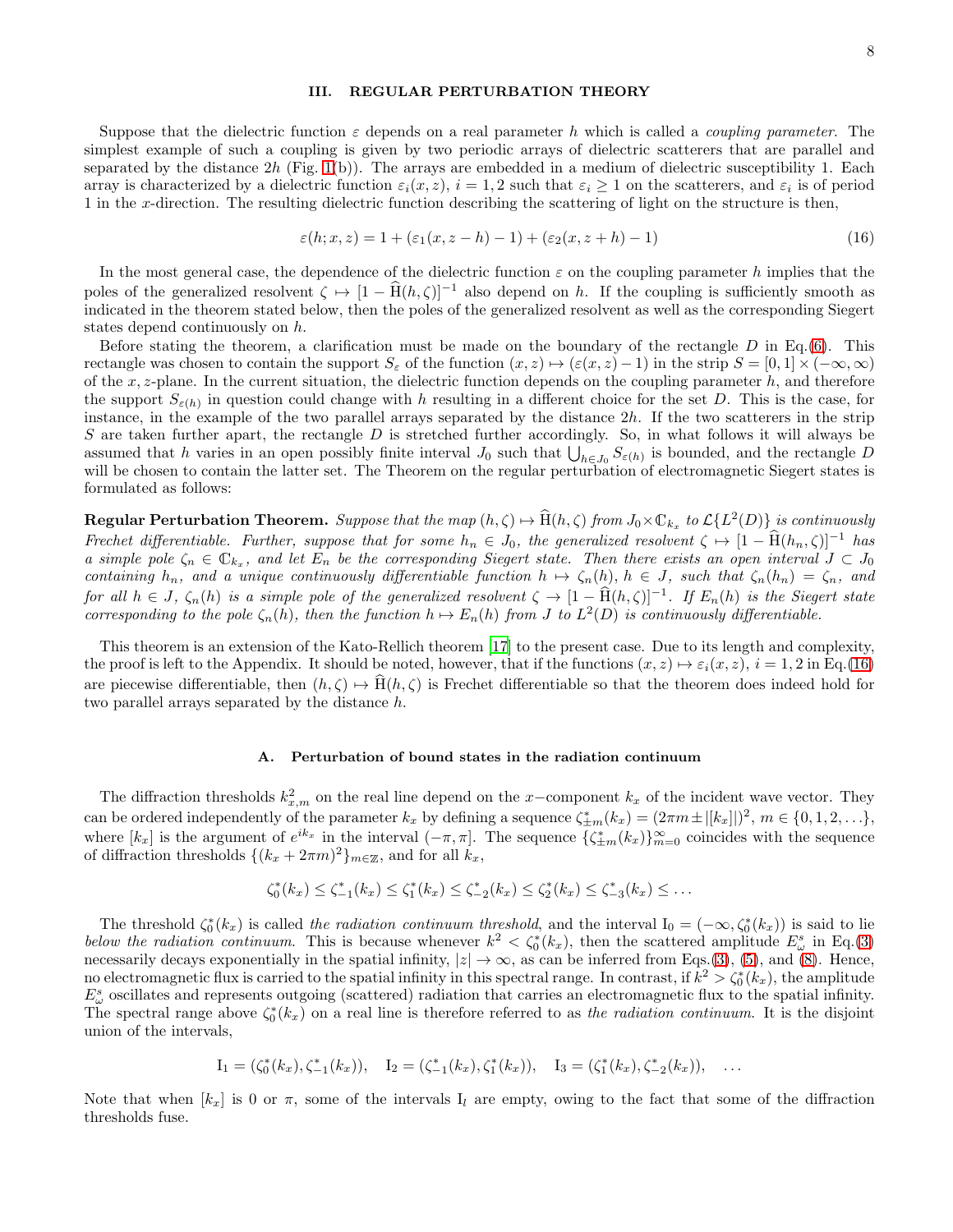## <span id="page-7-0"></span>III. REGULAR PERTURBATION THEORY

Suppose that the dielectric function  $\varepsilon$  depends on a real parameter h which is called a *coupling parameter*. The simplest example of such a coupling is given by two periodic arrays of dielectric scatterers that are parallel and separated by the distance  $2h$  (Fig. [1\(](#page-4-0)b)). The arrays are embedded in a medium of dielectric susceptibility 1. Each array is characterized by a dielectric function  $\varepsilon_i(x, z)$ ,  $i = 1, 2$  such that  $\varepsilon_i \ge 1$  on the scatterers, and  $\varepsilon_i$  is of period 1 in the x-direction. The resulting dielectric function describing the scattering of light on the structure is then,

<span id="page-7-2"></span>
$$
\varepsilon(h; x, z) = 1 + (\varepsilon_1(x, z - h) - 1) + (\varepsilon_2(x, z + h) - 1)
$$
\n(16)

In the most general case, the dependence of the dielectric function  $\varepsilon$  on the coupling parameter h implies that the poles of the generalized resolvent  $\zeta \mapsto [1 - \hat{H}(h,\zeta)]^{-1}$  also depend on h. If the coupling is sufficiently smooth as indicated in the theorem stated below, then the poles of the generalized resolvent as well as the corresponding Siegert states depend continuously on h.

Before stating the theorem, a clarification must be made on the boundary of the rectangle  $D$  in Eq.[\(6\)](#page-4-1). This rectangle was chosen to contain the support  $S_\varepsilon$  of the function  $(x, z) \mapsto (\varepsilon(x, z) - 1)$  in the strip  $S = [0, 1] \times (-\infty, \infty)$ of the x, z-plane. In the current situation, the dielectric function depends on the coupling parameter  $h$ , and therefore the support  $S_{\varepsilon(h)}$  in question could change with h resulting in a different choice for the set D. This is the case, for instance, in the example of the two parallel arrays separated by the distance 2h. If the two scatterers in the strip S are taken further apart, the rectangle  $D$  is stretched further accordingly. So, in what follows it will always be assumed that h varies in an open possibly finite interval  $J_0$  such that  $\bigcup_{h \in J_0} S_{\varepsilon(h)}$  is bounded, and the rectangle D will be chosen to contain the latter set. The Theorem on the regular perturbation of electromagnetic Siegert states is formulated as follows:

 ${\bf Regular Perturbation Theorem.}$  Suppose that the map  $(h,\zeta)\mapsto \widehat {\rm H}(h,\zeta)$  from  $J_0\times \mathbb{C}_{k_x}$  to  $\mathcal{L}\{L^2(D)\}$  is continuously Frechet differentiable. Further, suppose that for some  $h_n \in J_0$ , the generalized resolvent  $\zeta \mapsto [1 - \widehat{H}(h_n, \zeta)]^{-1}$  has a simple pole  $\zeta_n \in \mathbb{C}_{k_x}$ , and let  $E_n$  be the corresponding Siegert state. Then there exists an open interval  $J \subset J_0$ containing  $h_n$ , and a unique continuously differentiable function  $h \mapsto \zeta_n(h)$ ,  $h \in J$ , such that  $\zeta_n(h_n) = \zeta_n$ , and for all  $h \in J$ ,  $\zeta_n(h)$  is a simple pole of the generalized resolvent  $\zeta \to [1 - \hat{H}(h,\zeta)]^{-1}$ . If  $E_n(h)$  is the Siegert state corresponding to the pole  $\zeta_n(h)$ , then the function  $h \mapsto E_n(h)$  from J to  $L^2(D)$  is continuously differentiable.

This theorem is an extension of the Kato-Rellich theorem [\[17](#page-16-13)] to the present case. Due to its length and complexity, the proof is left to the Appendix. It should be noted, however, that if the functions  $(x, z) \mapsto \varepsilon_i(x, z)$ ,  $i = 1, 2$  in Eq.[\(16\)](#page-7-2) are piecewise differentiable, then  $(h, \zeta) \mapsto \hat{H}(h, \zeta)$  is Frechet differentiable so that the theorem does indeed hold for two parallel arrays separated by the distance h.

### <span id="page-7-1"></span>A. Perturbation of bound states in the radiation continuum

The diffraction thresholds  $k_{x,m}^2$  on the real line depend on the x-component  $k_x$  of the incident wave vector. They can be ordered independently of the parameter  $k_x$  by defining a sequence  $\zeta_{\pm m}^*(k_x) = (2\pi m \pm |[k_x]|)^2$ ,  $m \in \{0, 1, 2, \ldots\}$ , where  $[k_x]$  is the argument of  $e^{ik_x}$  in the interval  $(-\pi, \pi]$ . The sequence  $\{\zeta_{\pm m}^*(k_x)\}_{m=0}^\infty$  coincides with the sequence of diffraction thresholds  $\{(k_x + 2\pi m)^2\}_{m \in \mathbb{Z}}$ , and for all  $k_x$ ,

$$
\zeta_0^*(k_x) \le \zeta_{-1}^*(k_x) \le \zeta_1^*(k_x) \le \zeta_{-2}^*(k_x) \le \zeta_2^*(k_x) \le \zeta_{-3}^*(k_x) \le \ldots
$$

The threshold  $\zeta_0^*(k_x)$  is called the radiation continuum threshold, and the interval  $I_0 = (-\infty, \zeta_0^*(k_x))$  is said to lie below the radiation continuum. This is because whenever  $k^2 < \zeta_0^*(k_x)$ , then the scattered amplitude  $E^s_\omega$  in Eq.[\(3\)](#page-3-5) necessarily decays exponentially in the spatial infinity,  $|z| \to \infty$ , as can be inferred from Eqs.[\(3\)](#page-3-5), [\(5\)](#page-3-2), and [\(8\)](#page-4-3). Hence, no electromagnetic flux is carried to the spatial infinity in this spectral range. In contrast, if  $k^2 > \zeta_0^*(k_x)$ , the amplitude  $E_{\omega}^{s}$  oscillates and represents outgoing (scattered) radiation that carries an electromagnetic flux to the spatial infinity. The spectral range above  $\zeta_0^*(k_x)$  on a real line is therefore referred to as the radiation continuum. It is the disjoint union of the intervals,

$$
I_1 = (\zeta_0^*(k_x), \zeta_{-1}^*(k_x)), \quad I_2 = (\zeta_{-1}^*(k_x), \zeta_1^*(k_x)), \quad I_3 = (\zeta_1^*(k_x), \zeta_{-2}^*(k_x)), \quad \dots
$$

Note that when  $[k_x]$  is 0 or  $\pi$ , some of the intervals I<sub>l</sub> are empty, owing to the fact that some of the diffraction thresholds fuse.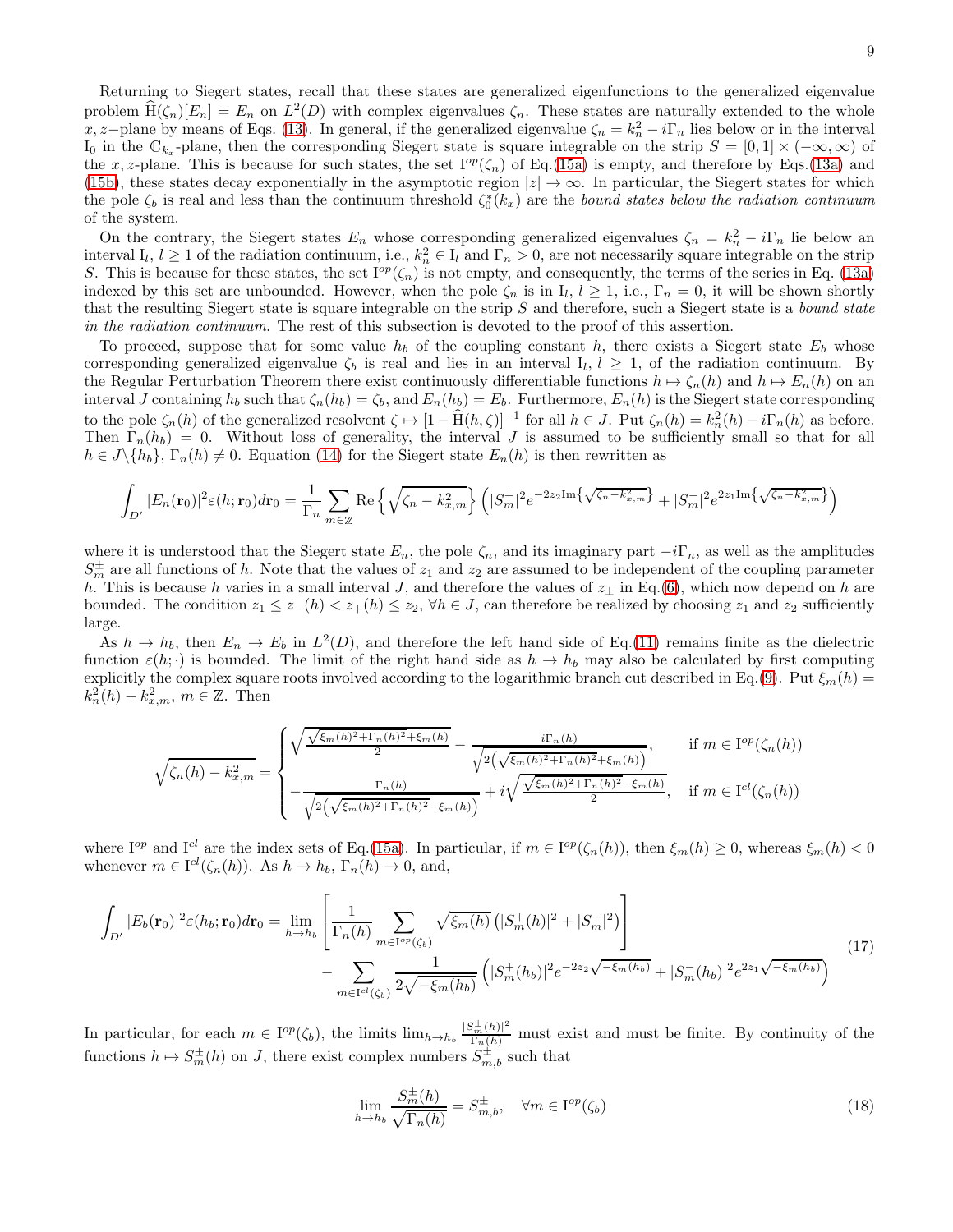Returning to Siegert states, recall that these states are generalized eigenfunctions to the generalized eigenvalue problem  $\hat{H}(\zeta_n)[E_n] = E_n$  on  $L^2(D)$  with complex eigenvalues  $\zeta_n$ . These states are naturally extended to the whole  $x, z$ −plane by means of Eqs. [\(13\)](#page-6-3). In general, if the generalized eigenvalue  $\zeta_n = k_n^2 - i\Gamma_n$  lies below or in the interval I<sub>0</sub> in the  $\mathbb{C}_{k_x}$ -plane, then the corresponding Siegert state is square integrable on the strip  $S = [0,1] \times (-\infty, \infty)$  of the x, z-plane. This is because for such states, the set  $I^{op}(\zeta_n)$  of Eq.[\(15a\)](#page-6-4) is empty, and therefore by Eqs.[\(13a\)](#page-6-0) and [\(15b\)](#page-6-5), these states decay exponentially in the asymptotic region  $|z| \to \infty$ . In particular, the Siegert states for which the pole  $\zeta_b$  is real and less than the continuum threshold  $\zeta_0^*(k_x)$  are the bound states below the radiation continuum of the system.

On the contrary, the Siegert states  $E_n$  whose corresponding generalized eigenvalues  $\zeta_n = k_n^2 - i\Gamma_n$  lie below an interval  $I_l, l \geq 1$  of the radiation continuum, i.e.,  $k_n^2 \in I_l$  and  $\Gamma_n > 0$ , are not necessarily square integrable on the strip S. This is because for these states, the set  $I^{op}(\zeta_n)$  is not empty, and consequently, the terms of the series in Eq. [\(13a\)](#page-6-0) indexed by this set are unbounded. However, when the pole  $\zeta_n$  is in  $I_l$ ,  $l \geq 1$ , i.e.,  $\Gamma_n = 0$ , it will be shown shortly that the resulting Siegert state is square integrable on the strip  $S$  and therefore, such a Siegert state is a bound state in the radiation continuum. The rest of this subsection is devoted to the proof of this assertion.

To proceed, suppose that for some value  $h_b$  of the coupling constant h, there exists a Siegert state  $E_b$  whose corresponding generalized eigenvalue  $\zeta_b$  is real and lies in an interval  $I_l, l \geq 1$ , of the radiation continuum. By the Regular Perturbation Theorem there exist continuously differentiable functions  $h \mapsto \zeta_n(h)$  and  $h \mapsto E_n(h)$  on an interval J containing  $h_b$  such that  $\zeta_n(h_b) = \zeta_b$ , and  $E_n(h_b) = E_b$ . Furthermore,  $E_n(h)$  is the Siegert state corresponding to the pole  $\zeta_n(h)$  of the generalized resolvent  $\zeta \mapsto [1 - \hat{H}(h,\zeta)]^{-1}$  for all  $h \in J$ . Put  $\zeta_n(h) = k_n^2(h) - i\Gamma_n(h)$  as before. Then  $\Gamma_n(h_b) = 0$ . Without loss of generality, the interval J is assumed to be sufficiently small so that for all  $h \in J \setminus \{h_b\}, \Gamma_n(h) \neq 0$ . Equation [\(14\)](#page-6-2) for the Siegert state  $E_n(h)$  is then rewritten as

$$
\int_{D'} |E_n(\mathbf{r}_0)|^2 \varepsilon(h; \mathbf{r}_0) d\mathbf{r}_0 = \frac{1}{\Gamma_n} \sum_{m \in \mathbb{Z}} \text{Re}\left\{ \sqrt{\zeta_n - k_{x,m}^2} \right\} \left( |S_m^+|^2 e^{-2z_2 \text{Im}\left\{ \sqrt{\zeta_n - k_{x,m}^2} \right\}} + |S_m^-|^2 e^{2z_1 \text{Im}\left\{ \sqrt{\zeta_n - k_{x,m}^2} \right\}} \right)
$$

where it is understood that the Siegert state  $E_n$ , the pole  $\zeta_n$ , and its imaginary part  $-i\Gamma_n$ , as well as the amplitudes  $S_m^{\pm}$  are all functions of h. Note that the values of  $z_1$  and  $z_2$  are assumed to be independent of the coupling parameter h. This is because h varies in a small interval J, and therefore the values of  $z_{\pm}$  in Eq.[\(6\)](#page-4-1), which now depend on h are bounded. The condition  $z_1 \leq z_-(h) \leq z_+(h) \leq z_2$ ,  $\forall h \in J$ , can therefore be realized by choosing  $z_1$  and  $z_2$  sufficiently large.

As  $h \to h_b$ , then  $E_n \to E_b$  in  $L^2(D)$ , and therefore the left hand side of Eq.[\(11\)](#page-5-2) remains finite as the dielectric function  $\varepsilon(h; \cdot)$  is bounded. The limit of the right hand side as  $h \to h_b$  may also be calculated by first computing explicitly the complex square roots involved according to the logarithmic branch cut described in Eq.[\(9\)](#page-5-3). Put  $\xi_m(h)$  =  $k_n^2(h) - k_{x,m}^2, m \in \mathbb{Z}$ . Then

$$
\sqrt{\zeta_n(h) - k_{x,m}^2} = \begin{cases} \sqrt{\frac{\sqrt{\xi_m(h)^2 + \Gamma_n(h)^2} + \xi_m(h)}{2}} - \frac{i\Gamma_n(h)}{\sqrt{2\left(\sqrt{\xi_m(h)^2 + \Gamma_n(h)^2} + \xi_m(h)\right)}}, & \text{if } m \in \text{I}^{op}(\zeta_n(h)) \\ - \frac{\Gamma_n(h)}{\sqrt{2\left(\sqrt{\xi_m(h)^2} + \Gamma_n(h)^2} - \xi_m(h)\right)}} + i\sqrt{\frac{\sqrt{\xi_m(h)^2 + \Gamma_n(h)^2} - \xi_m(h)}{2}}, & \text{if } m \in \text{I}^{cl}(\zeta_n(h)) \end{cases}
$$

where  $I^{op}$  and  $I^{cl}$  are the index sets of Eq.[\(15a\)](#page-6-4). In particular, if  $m \in I^{op}(\zeta_n(h))$ , then  $\xi_m(h) \geq 0$ , whereas  $\xi_m(h) < 0$ whenever  $m \in \mathrm{I}^{cl}(\zeta_n(h))$ . As  $h \to h_b$ ,  $\Gamma_n(h) \to 0$ , and,

<span id="page-8-0"></span>
$$
\int_{D'} |E_b(\mathbf{r}_0)|^2 \varepsilon(h_b; \mathbf{r}_0) d\mathbf{r}_0 = \lim_{h \to h_b} \left[ \frac{1}{\Gamma_n(h)} \sum_{m \in I^{op}(\zeta_b)} \sqrt{\xi_m(h)} \left( |S_m^+(h)|^2 + |S_m^-|^2 \right) \right] - \sum_{m \in I^{cl}(\zeta_b)} \frac{1}{2\sqrt{-\xi_m(h_b)}} \left( |S_m^+(h_b)|^2 e^{-2z_2 \sqrt{-\xi_m(h_b)}} + |S_m^-(h_b)|^2 e^{2z_1 \sqrt{-\xi_m(h_b)}} \right)
$$
\n(17)

In particular, for each  $m \in I^{op}(\zeta_b)$ , the limits  $\lim_{h\to h_b} \frac{|S_m^{\pm}(h)|^2}{\Gamma_n(h)}$  must exist and must be finite. By continuity of the functions  $h \mapsto S_m^{\pm}(h)$  on J, there exist complex numbers  $S_{m,b}^{\pm}$  such that

<span id="page-8-1"></span>
$$
\lim_{h \to h_b} \frac{S_m^{\pm}(h)}{\sqrt{\Gamma_n(h)}} = S_{m,b}^{\pm}, \quad \forall m \in \mathcal{I}^{op}(\zeta_b)
$$
\n(18)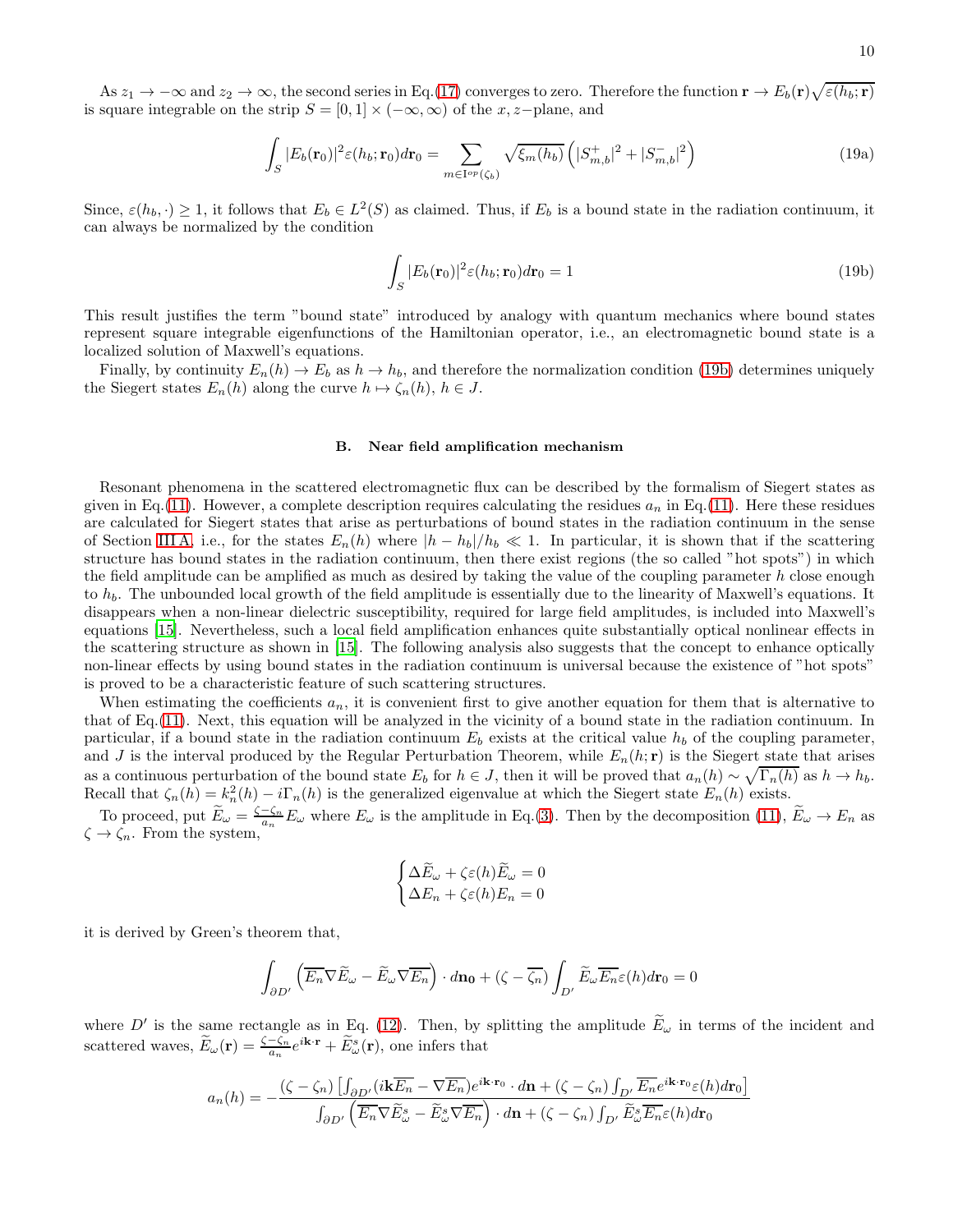As  $z_1 \to -\infty$  and  $z_2 \to \infty$ , the second series in Eq.[\(17\)](#page-8-0) converges to zero. Therefore the function  $\mathbf{r} \to E_b(\mathbf{r})\sqrt{\varepsilon(h_b; \mathbf{r})}$ is square integrable on the strip  $S = [0, 1] \times (-\infty, \infty)$  of the x, z-plane, and

$$
\int_{S} |E_b(\mathbf{r}_0)|^2 \varepsilon(h_b; \mathbf{r}_0) d\mathbf{r}_0 = \sum_{m \in I^{op}(\zeta_b)} \sqrt{\xi_m(h_b)} \left( |S^+_{m,b}|^2 + |S^-_{m,b}|^2 \right)
$$
(19a)

Since,  $\varepsilon(h_b, \cdot) \ge 1$ , it follows that  $E_b \in L^2(S)$  as claimed. Thus, if  $E_b$  is a bound state in the radiation continuum, it can always be normalized by the condition

<span id="page-9-1"></span><span id="page-9-0"></span>
$$
\int_{S} |E_b(\mathbf{r}_0)|^2 \varepsilon(h_b; \mathbf{r}_0) d\mathbf{r}_0 = 1
$$
\n(19b)

This result justifies the term "bound state" introduced by analogy with quantum mechanics where bound states represent square integrable eigenfunctions of the Hamiltonian operator, i.e., an electromagnetic bound state is a localized solution of Maxwell's equations.

Finally, by continuity  $E_n(h) \to E_b$  as  $h \to h_b$ , and therefore the normalization condition [\(19b\)](#page-9-0) determines uniquely the Siegert states  $E_n(h)$  along the curve  $h \mapsto \zeta_n(h)$ ,  $h \in J$ .

#### B. Near field amplification mechanism

Resonant phenomena in the scattered electromagnetic flux can be described by the formalism of Siegert states as given in Eq.[\(11\)](#page-5-2). However, a complete description requires calculating the residues  $a_n$  in Eq.(11). Here these residues are calculated for Siegert states that arise as perturbations of bound states in the radiation continuum in the sense of Section [III A,](#page-7-1) i.e., for the states  $E_n(h)$  where  $|h-h_b|/h_b \ll 1$ . In particular, it is shown that if the scattering structure has bound states in the radiation continuum, then there exist regions (the so called "hot spots") in which the field amplitude can be amplified as much as desired by taking the value of the coupling parameter  $h$  close enough to  $h_b$ . The unbounded local growth of the field amplitude is essentially due to the linearity of Maxwell's equations. It disappears when a non-linear dielectric susceptibility, required for large field amplitudes, is included into Maxwell's equations [\[15\]](#page-16-14). Nevertheless, such a local field amplification enhances quite substantially optical nonlinear effects in the scattering structure as shown in [\[15\]](#page-16-14). The following analysis also suggests that the concept to enhance optically non-linear effects by using bound states in the radiation continuum is universal because the existence of "hot spots" is proved to be a characteristic feature of such scattering structures.

When estimating the coefficients  $a_n$ , it is convenient first to give another equation for them that is alternative to that of Eq.[\(11\)](#page-5-2). Next, this equation will be analyzed in the vicinity of a bound state in the radiation continuum. In particular, if a bound state in the radiation continuum  $E_b$  exists at the critical value  $h_b$  of the coupling parameter, and J is the interval produced by the Regular Perturbation Theorem, while  $E_n(h; \mathbf{r})$  is the Siegert state that arises as a continuous perturbation of the bound state  $E_b$  for  $h \in J$ , then it will be proved that  $a_n(h) \sim \sqrt{\Gamma_n(h)}$  as  $h \to h_b$ . Recall that  $\zeta_n(h) = k_n^2(h) - i\Gamma_n(h)$  is the generalized eigenvalue at which the Siegert state  $E_n(h)$  exists.

To proceed, put  $\widetilde{E}_{\omega} = \frac{\zeta - \zeta_n}{a_n} E_{\omega}$  where  $E_{\omega}$  is the amplitude in Eq.[\(3\)](#page-3-5). Then by the decomposition [\(11\)](#page-5-2),  $\widetilde{E}_{\omega} \to E_n$  as  $\zeta\rightarrow\zeta_n.$  From the system,

$$
\begin{cases} \Delta \tilde{E}_{\omega} + \zeta \varepsilon(h) \tilde{E}_{\omega} = 0 \\ \Delta E_n + \zeta \varepsilon(h) E_n = 0 \end{cases}
$$

it is derived by Green's theorem that,

$$
\int_{\partial D'} \left( \overline{E_n} \nabla \widetilde{E}_{\omega} - \widetilde{E}_{\omega} \nabla \overline{E_n} \right) \cdot d\mathbf{n_0} + (\zeta - \overline{\zeta_n}) \int_{D'} \widetilde{E}_{\omega} \overline{E_n} \varepsilon(h) d\mathbf{r}_0 = 0
$$

where D' is the same rectangle as in Eq. [\(12\)](#page-6-1). Then, by splitting the amplitude  $E_{\omega}$  in terms of the incident and scattered waves,  $\widetilde{E}_{\omega}(\mathbf{r}) = \frac{\zeta - \zeta_n}{a_n} e^{i\mathbf{k}\cdot\mathbf{r}} + \widetilde{E}_{\omega}^s(\mathbf{r})$ , one infers that

$$
a_n(h) = -\frac{(\zeta - \zeta_n) \left[ \int_{\partial D'} (i\mathbf{k}\overline{E_n} - \nabla \overline{E_n}) e^{i\mathbf{k}\cdot\mathbf{r}_0} \cdot d\mathbf{n} + (\zeta - \zeta_n) \int_{D'} \overline{E_n} e^{i\mathbf{k}\cdot\mathbf{r}_0} \varepsilon(h) d\mathbf{r}_0 \right]}{\int_{\partial D'} \left( \overline{E_n} \nabla \widetilde{E}_\omega^s - \widetilde{E}_\omega^s \nabla \overline{E_n} \right) \cdot d\mathbf{n} + (\zeta - \zeta_n) \int_{D'} \widetilde{E}_\omega^s \overline{E_n} \varepsilon(h) d\mathbf{r}_0}
$$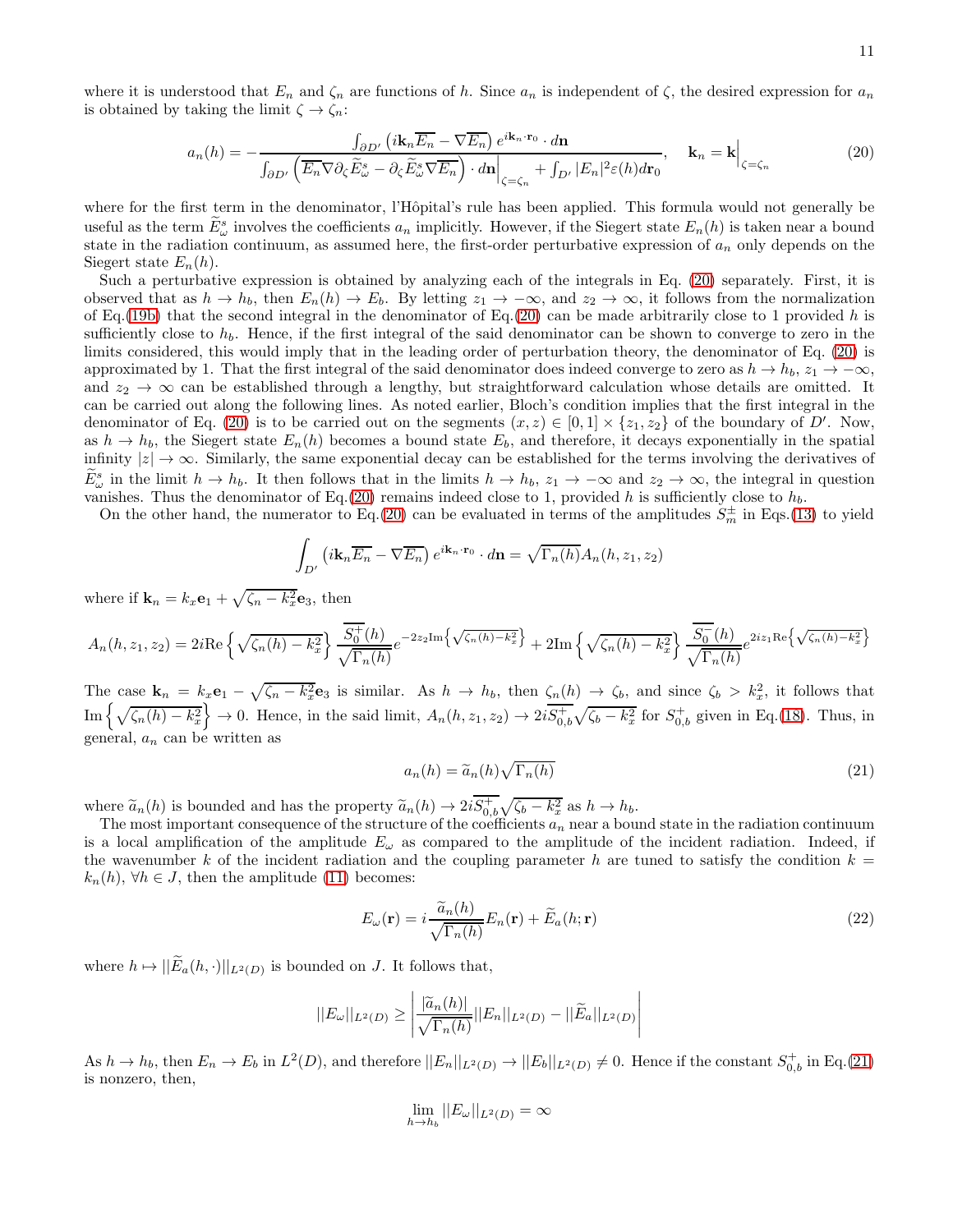where it is understood that  $E_n$  and  $\zeta_n$  are functions of h. Since  $a_n$  is independent of  $\zeta$ , the desired expression for  $a_n$ is obtained by taking the limit  $\zeta \to \zeta_n$ :

<span id="page-10-0"></span>
$$
a_n(h) = -\frac{\int_{\partial D'} \left( i \mathbf{k}_n \overline{E_n} - \nabla \overline{E_n} \right) e^{i \mathbf{k}_n \cdot \mathbf{r}_0} \cdot d\mathbf{n}}{\int_{\partial D'} \left( \overline{E_n} \nabla \partial_{\zeta} \widetilde{E}_{\omega}^s - \partial_{\zeta} \widetilde{E}_{\omega}^s \nabla \overline{E_n} \right) \cdot d\mathbf{n} \Big|_{\zeta = \zeta_n} + \int_{D'} |E_n|^2 \varepsilon(h) d\mathbf{r}_0}, \quad \mathbf{k}_n = \mathbf{k} \Big|_{\zeta = \zeta_n}
$$
(20)

where for the first term in the denominator, l'Hôpital's rule has been applied. This formula would not generally be useful as the term  $\tilde{E}^s_\omega$  involves the coefficients  $a_n$  implicitly. However, if the Siegert state  $E_n(h)$  is taken near a bound state in the radiation continuum, as assumed here, the first-order perturbative expression of  $a_n$  only depends on the Siegert state  $E_n(h)$ .

Such a perturbative expression is obtained by analyzing each of the integrals in Eq. [\(20\)](#page-10-0) separately. First, it is observed that as  $h \to h_b$ , then  $E_n(h) \to E_b$ . By letting  $z_1 \to -\infty$ , and  $z_2 \to \infty$ , it follows from the normalization of Eq.[\(19b\)](#page-9-0) that the second integral in the denominator of Eq.[\(20\)](#page-10-0) can be made arbitrarily close to 1 provided h is sufficiently close to  $h_b$ . Hence, if the first integral of the said denominator can be shown to converge to zero in the limits considered, this would imply that in the leading order of perturbation theory, the denominator of Eq. [\(20\)](#page-10-0) is approximated by 1. That the first integral of the said denominator does indeed converge to zero as  $h \to h_b$ ,  $z_1 \to -\infty$ , and  $z_2 \rightarrow \infty$  can be established through a lengthy, but straightforward calculation whose details are omitted. It can be carried out along the following lines. As noted earlier, Bloch's condition implies that the first integral in the denominator of Eq. [\(20\)](#page-10-0) is to be carried out on the segments  $(x, z) \in [0, 1] \times \{z_1, z_2\}$  of the boundary of D'. Now, as  $h \to h_b$ , the Siegert state  $E_n(h)$  becomes a bound state  $E_b$ , and therefore, it decays exponentially in the spatial infinity  $|z| \to \infty$ . Similarly, the same exponential decay can be established for the terms involving the derivatives of  $\tilde{E}^s_\omega$  in the limit  $h \to h_b$ . It then follows that in the limits  $h \to h_b$ ,  $z_1 \to -\infty$  and  $z_2 \to \infty$ , the integral in question vanishes. Thus the denominator of Eq.[\(20\)](#page-10-0) remains indeed close to 1, provided h is sufficiently close to  $h_b$ .

On the other hand, the numerator to Eq.[\(20\)](#page-10-0) can be evaluated in terms of the amplitudes  $S_m^{\pm}$  in Eqs.[\(13\)](#page-6-3) to yield

$$
\int_{D'} \left( i \mathbf{k}_n \overline{E_n} - \nabla \overline{E_n} \right) e^{i \mathbf{k}_n \cdot \mathbf{r}_0} \cdot d\mathbf{n} = \sqrt{\Gamma_n(h)} A_n(h, z_1, z_2)
$$

where if  $\mathbf{k}_n = k_x \mathbf{e}_1 + \sqrt{\zeta_n - k_x^2} \mathbf{e}_3$ , then

$$
A_n(h, z_1, z_2) = 2i\text{Re}\left\{\sqrt{\zeta_n(h) - k_x^2}\right\} \frac{\overline{S_0^+}(h)}{\sqrt{\Gamma_n(h)}} e^{-2z_2\text{Im}\left\{\sqrt{\zeta_n(h) - k_x^2}\right\}} + 2\text{Im}\left\{\sqrt{\zeta_n(h) - k_x^2}\right\} \frac{\overline{S_0^-}(h)}{\sqrt{\Gamma_n(h)}} e^{2iz_1\text{Re}\left\{\sqrt{\zeta_n(h) - k_x^2}\right\}}
$$

The case  $\mathbf{k}_n = k_x \mathbf{e}_1 - \sqrt{\zeta_n - k_x^2} \mathbf{e}_3$  is similar. As  $h \to h_b$ , then  $\zeta_n(h) \to \zeta_b$ , and since  $\zeta_b > k_x^2$ , it follows that  $\text{Im}\left\{\sqrt{\zeta_n(h) - k_x^2}\right\} \to 0.$  Hence, in the said limit,  $A_n(h, z_1, z_2) \to 2i\overline{S_{0,b}^+}\sqrt{\zeta_b - k_x^2}$  for  $S_{0,b}^+$  given in Eq.[\(18\)](#page-8-1). Thus, in general,  $a_n$  can be written as

<span id="page-10-1"></span>
$$
a_n(h) = \widetilde{a}_n(h)\sqrt{\Gamma_n(h)}\tag{21}
$$

where  $\tilde{a}_n(h)$  is bounded and has the property  $\tilde{a}_n(h) \to 2i\overline{S_{b,b}^+}\sqrt{\zeta_b - k_x^2}$  as  $h \to h_b$ .<br>The meet important expressions of the structure of the coefficients a near a bound

The most important consequence of the structure of the coefficients  $a_n$  near a bound state in the radiation continuum is a local amplification of the amplitude  $E_{\omega}$  as compared to the amplitude of the incident radiation. Indeed, if the wavenumber k of the incident radiation and the coupling parameter h are tuned to satisfy the condition  $k =$  $k_n(h)$ ,  $\forall h \in J$ , then the amplitude [\(11\)](#page-5-2) becomes:

<span id="page-10-2"></span>
$$
E_{\omega}(\mathbf{r}) = i \frac{\widetilde{a}_n(h)}{\sqrt{\Gamma_n(h)}} E_n(\mathbf{r}) + \widetilde{E}_a(h; \mathbf{r})
$$
\n(22)

where  $h \mapsto ||E_a(h, \cdot)||_{L^2(D)}$  is bounded on J. It follows that,

$$
||E_{\omega}||_{L^{2}(D)} \ge \left| \frac{|\widetilde{a}_{n}(h)|}{\sqrt{\Gamma_{n}(h)}} ||E_{n}||_{L^{2}(D)} - ||\widetilde{E}_{a}||_{L^{2}(D)} \right|
$$

As  $h \to h_b$ , then  $E_n \to E_b$  in  $L^2(D)$ , and therefore  $||E_n||_{L^2(D)} \to ||E_b||_{L^2(D)} \neq 0$ . Hence if the constant  $S_{0,b}^+$  in Eq.[\(21\)](#page-10-1) is nonzero, then,

$$
\lim_{h \to h_b} ||E_{\omega}||_{L^2(D)} = \infty
$$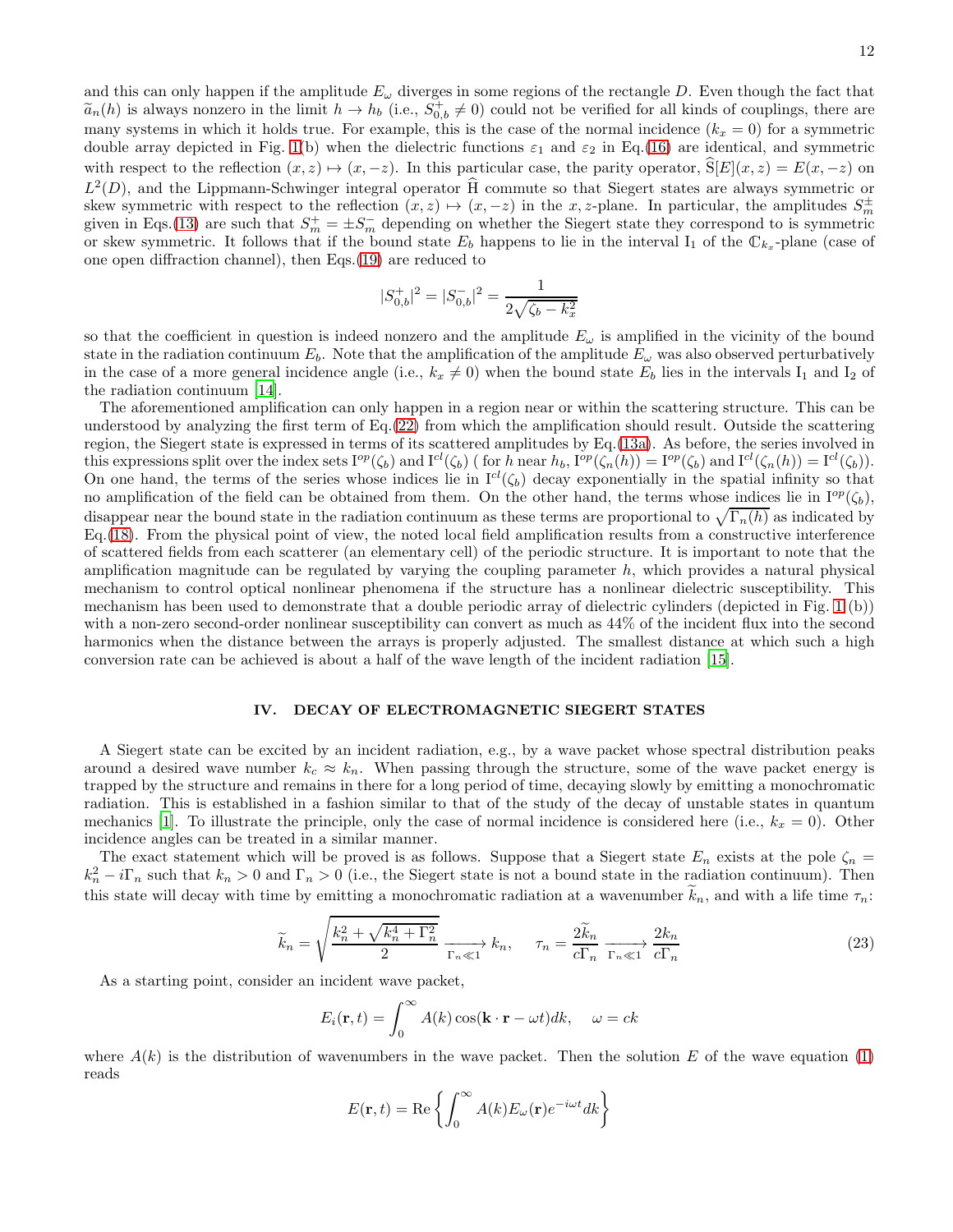and this can only happen if the amplitude  $E_{\omega}$  diverges in some regions of the rectangle D. Even though the fact that  $\tilde{a}_n(h)$  is always nonzero in the limit  $h \to h_b$  (i.e.,  $S_{0,b}^+ \neq 0$ ) could not be verified for all kinds of couplings, there are many systems in which it holds true. For example, this is the case of the normal incidence  $(k_x = 0)$  for a symmetric double array depicted in Fig. [1\(](#page-4-0)b) when the dielectric functions  $\varepsilon_1$  and  $\varepsilon_2$  in Eq.[\(16\)](#page-7-2) are identical, and symmetric with respect to the reflection  $(x, z) \mapsto (x, -z)$ . In this particular case, the parity operator,  $S[E](x, z) = E(x, -z)$  on  $L^2(D)$ , and the Lippmann-Schwinger integral operator  $\hat{H}$  commute so that Siegert states are always symmetric or skew symmetric with respect to the reflection  $(x, z) \mapsto (x, -z)$  in the x, z-plane. In particular, the amplitudes  $S_m^{\pm}$ given in Eqs.[\(13\)](#page-6-3) are such that  $S_m^+ = \pm S_m^-$  depending on whether the Siegert state they correspond to is symmetric or skew symmetric. It follows that if the bound state  $E_b$  happens to lie in the interval  $I_1$  of the  $\mathbb{C}_{k_x}$ -plane (case of one open diffraction channel), then Eqs.[\(19\)](#page-9-1) are reduced to

$$
|S_{0,b}^{+}|^2 = |S_{0,b}^{-}|^2 = \frac{1}{2\sqrt{\zeta_b - k_x^2}}
$$

so that the coefficient in question is indeed nonzero and the amplitude  $E_{\omega}$  is amplified in the vicinity of the bound state in the radiation continuum  $E_b$ . Note that the amplification of the amplitude  $E_\omega$  was also observed perturbatively in the case of a more general incidence angle (i.e.,  $k_x \neq 0$ ) when the bound state  $E_b$  lies in the intervals I<sub>1</sub> and I<sub>2</sub> of the radiation continuum [\[14\]](#page-16-12).

The aforementioned amplification can only happen in a region near or within the scattering structure. This can be understood by analyzing the first term of Eq.[\(22\)](#page-10-2) from which the amplification should result. Outside the scattering region, the Siegert state is expressed in terms of its scattered amplitudes by Eq.[\(13a\)](#page-6-0). As before, the series involved in this expressions split over the index sets  $I^{op}(\zeta_b)$  and  $I^{cl}(\zeta_b)$  ( for h near  $h_b$ ,  $I^{op}(\zeta_n(h)) = I^{op}(\zeta_b)$  and  $I^{cl}(\zeta_n(h)) = I^{cl}(\zeta_b)$ ). On one hand, the terms of the series whose indices lie in  $I^{cl}(\zeta_b)$  decay exponentially in the spatial infinity so that no amplification of the field can be obtained from them. On the other hand, the terms whose indices lie in  $I^{op}(\zeta_b)$ , disappear near the bound state in the radiation continuum as these terms are proportional to  $\sqrt{\Gamma_n(h)}$  as indicated by Eq.[\(18\)](#page-8-1). From the physical point of view, the noted local field amplification results from a constructive interference of scattered fields from each scatterer (an elementary cell) of the periodic structure. It is important to note that the amplification magnitude can be regulated by varying the coupling parameter  $h$ , which provides a natural physical mechanism to control optical nonlinear phenomena if the structure has a nonlinear dielectric susceptibility. This mechanism has been used to demonstrate that a double periodic array of dielectric cylinders (depicted in Fig. [1](#page-4-0) (b)) with a non-zero second-order nonlinear susceptibility can convert as much as  $44\%$  of the incident flux into the second harmonics when the distance between the arrays is properly adjusted. The smallest distance at which such a high conversion rate can be achieved is about a half of the wave length of the incident radiation [\[15\]](#page-16-14).

## <span id="page-11-0"></span>IV. DECAY OF ELECTROMAGNETIC SIEGERT STATES

A Siegert state can be excited by an incident radiation, e.g., by a wave packet whose spectral distribution peaks around a desired wave number  $k_c \approx k_n$ . When passing through the structure, some of the wave packet energy is trapped by the structure and remains in there for a long period of time, decaying slowly by emitting a monochromatic radiation. This is established in a fashion similar to that of the study of the decay of unstable states in quantum mechanics [\[1\]](#page-16-0). To illustrate the principle, only the case of normal incidence is considered here (i.e.,  $k_x = 0$ ). Other incidence angles can be treated in a similar manner.

The exact statement which will be proved is as follows. Suppose that a Siegert state  $E_n$  exists at the pole  $\zeta_n =$  $k_n^2 - i\Gamma_n$  such that  $k_n > 0$  and  $\Gamma_n > 0$  (i.e., the Siegert state is not a bound state in the radiation continuum). Then this state will decay with time by emitting a monochromatic radiation at a wavenumber  $k_n$ , and with a life time  $\tau_n$ :

<span id="page-11-1"></span>
$$
\widetilde{k}_n = \sqrt{\frac{k_n^2 + \sqrt{k_n^4 + \Gamma_n^2}}{2}} \xrightarrow{\Gamma_n \ll 1} k_n, \quad \tau_n = \frac{2\widetilde{k}_n}{c\Gamma_n} \xrightarrow{\Gamma_n \ll 1} \frac{2k_n}{c\Gamma_n}
$$
\n(23)

As a starting point, consider an incident wave packet,

$$
E_i(\mathbf{r},t) = \int_0^\infty A(k) \cos(\mathbf{k} \cdot \mathbf{r} - \omega t) dk, \quad \omega = ck
$$

where  $A(k)$  is the distribution of wavenumbers in the wave packet. Then the solution E of the wave equation [\(1\)](#page-3-1) reads

$$
E(\mathbf{r},t) = \text{Re}\left\{\int_0^\infty A(k)E_\omega(\mathbf{r})e^{-i\omega t}dk\right\}
$$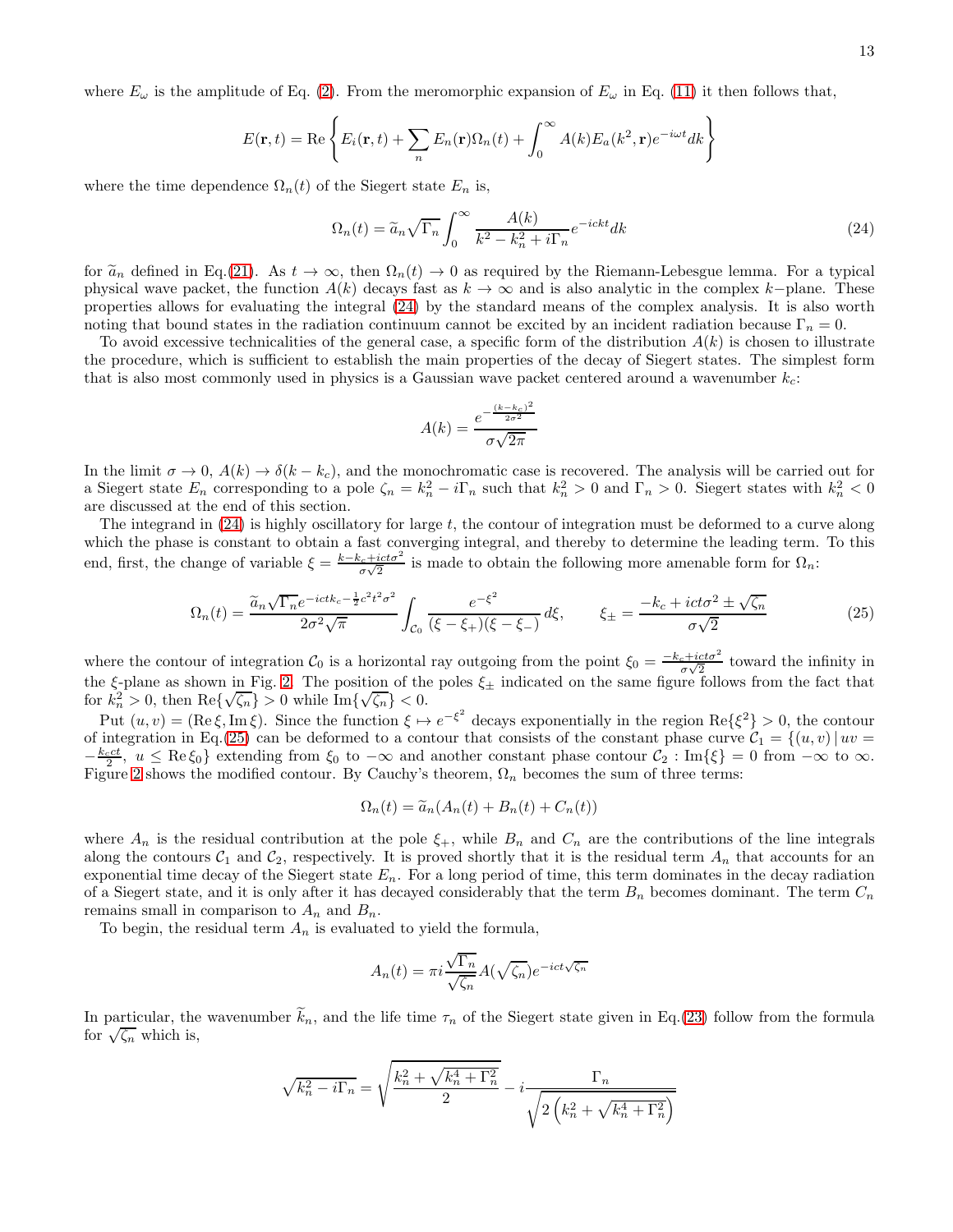13

where  $E_{\omega}$  is the amplitude of Eq. [\(2\)](#page-3-4). From the meromorphic expansion of  $E_{\omega}$  in Eq. [\(11\)](#page-5-2) it then follows that,

$$
E(\mathbf{r},t) = \text{Re}\left\{E_i(\mathbf{r},t) + \sum_n E_n(\mathbf{r})\Omega_n(t) + \int_0^\infty A(k)E_a(k^2,\mathbf{r})e^{-i\omega t}dk\right\}
$$

where the time dependence  $\Omega_n(t)$  of the Siegert state  $E_n$  is,

<span id="page-12-0"></span>
$$
\Omega_n(t) = \widetilde{a}_n \sqrt{\Gamma_n} \int_0^\infty \frac{A(k)}{k^2 - k_n^2 + i\Gamma_n} e^{-i ckt} dk \tag{24}
$$

for  $\tilde{a}_n$  defined in Eq.[\(21\)](#page-10-1). As  $t \to \infty$ , then  $\Omega_n(t) \to 0$  as required by the Riemann-Lebesgue lemma. For a typical physical wave packet, the function  $A(k)$  decays fast as  $k \to \infty$  and is also analytic in the complex k–plane. These properties allows for evaluating the integral [\(24\)](#page-12-0) by the standard means of the complex analysis. It is also worth noting that bound states in the radiation continuum cannot be excited by an incident radiation because  $\Gamma_n = 0$ .

To avoid excessive technicalities of the general case, a specific form of the distribution  $A(k)$  is chosen to illustrate the procedure, which is sufficient to establish the main properties of the decay of Siegert states. The simplest form that is also most commonly used in physics is a Gaussian wave packet centered around a wavenumber  $k_c$ :

$$
A(k) = \frac{e^{-\frac{(k - k_c)^2}{2\sigma^2}}}{\sigma\sqrt{2\pi}}
$$

In the limit  $\sigma \to 0$ ,  $A(k) \to \delta(k - k_c)$ , and the monochromatic case is recovered. The analysis will be carried out for a Siegert state  $E_n$  corresponding to a pole  $\zeta_n = k_n^2 - i\Gamma_n$  such that  $k_n^2 > 0$  and  $\Gamma_n > 0$ . Siegert states with  $k_n^2 < 0$ are discussed at the end of this section.

The integrand in [\(24\)](#page-12-0) is highly oscillatory for large t, the contour of integration must be deformed to a curve along which the phase is constant to obtain a fast converging integral, and thereby to determine the leading term. To this end, first, the change of variable  $\xi = \frac{k-k_c+ict\sigma^2}{\sigma\sqrt{2}}$  is made to obtain the following more amenable form for  $\Omega_n$ :

<span id="page-12-1"></span>
$$
\Omega_n(t) = \frac{\tilde{a}_n \sqrt{\Gamma_n} e^{-ictk_c - \frac{1}{2}c^2 t^2 \sigma^2}}{2\sigma^2 \sqrt{\pi}} \int_{\mathcal{C}_0} \frac{e^{-\xi^2}}{(\xi - \xi_+)(\xi - \xi_-)} d\xi, \qquad \xi_{\pm} = \frac{-k_c + ict\sigma^2 \pm \sqrt{\zeta_n}}{\sigma\sqrt{2}} \tag{25}
$$

where the contour of integration  $\mathcal{C}_0$  is a horizontal ray outgoing from the point  $\xi_0 = \frac{-k_c + i c t \sigma^2}{\sigma \sqrt{2}}$  toward the infinity in the  $\xi$ -plane as shown in Fig. [2.](#page-13-0) The position of the poles  $\xi_{\pm}$  indicated on the same figure follows from the fact that for  $k_n^2 > 0$ , then  $\text{Re}\{\sqrt{\zeta_n}\} > 0$  while  $\text{Im}\{\sqrt{\zeta_n}\} < 0$ .

Put  $(u, v) = (\text{Re } \xi, \text{Im } \xi)$ . Since the function  $\xi \mapsto e^{-\xi^2}$  decays exponentially in the region  $\text{Re } {\xi^2} > 0$ , the contour of integration in Eq.[\(25\)](#page-12-1) can be deformed to a contour that consists of the constant phase curve  $\mathcal{C}_1 = \{(u, v) | uv =$  $-\frac{k_cct}{2}$ ,  $u \leq \text{Re}\xi_0$  extending from  $\xi_0$  to  $-\infty$  and another constant phase contour  $\mathcal{C}_2$ : Im{ $\xi$ } = 0 from  $-\infty$  to  $\infty$ . Figure [2](#page-13-0) shows the modified contour. By Cauchy's theorem,  $\Omega_n$  becomes the sum of three terms:

$$
\Omega_n(t) = \widetilde{a}_n(A_n(t) + B_n(t) + C_n(t))
$$

where  $A_n$  is the residual contribution at the pole  $\xi_+$ , while  $B_n$  and  $C_n$  are the contributions of the line integrals along the contours  $C_1$  and  $C_2$ , respectively. It is proved shortly that it is the residual term  $A_n$  that accounts for an exponential time decay of the Siegert state  $E_n$ . For a long period of time, this term dominates in the decay radiation of a Siegert state, and it is only after it has decayed considerably that the term  $B_n$  becomes dominant. The term  $C_n$ remains small in comparison to  $A_n$  and  $B_n$ .

To begin, the residual term  $A_n$  is evaluated to yield the formula,

$$
A_n(t) = \pi i \frac{\sqrt{\Gamma_n}}{\sqrt{\zeta_n}} A(\sqrt{\zeta_n}) e^{-ict\sqrt{\zeta_n}}
$$

In particular, the wavenumber  $k_n$ , and the life time  $\tau_n$  of the Siegert state given in Eq.[\(23\)](#page-11-1) follow from the formula for  $\sqrt{\zeta_n}$  which is,

$$
\sqrt{k_n^2 - i\Gamma_n} = \sqrt{\frac{k_n^2 + \sqrt{k_n^4 + \Gamma_n^2}}{2}} - i \frac{\Gamma_n}{\sqrt{2\left(k_n^2 + \sqrt{k_n^4 + \Gamma_n^2}\right)}}
$$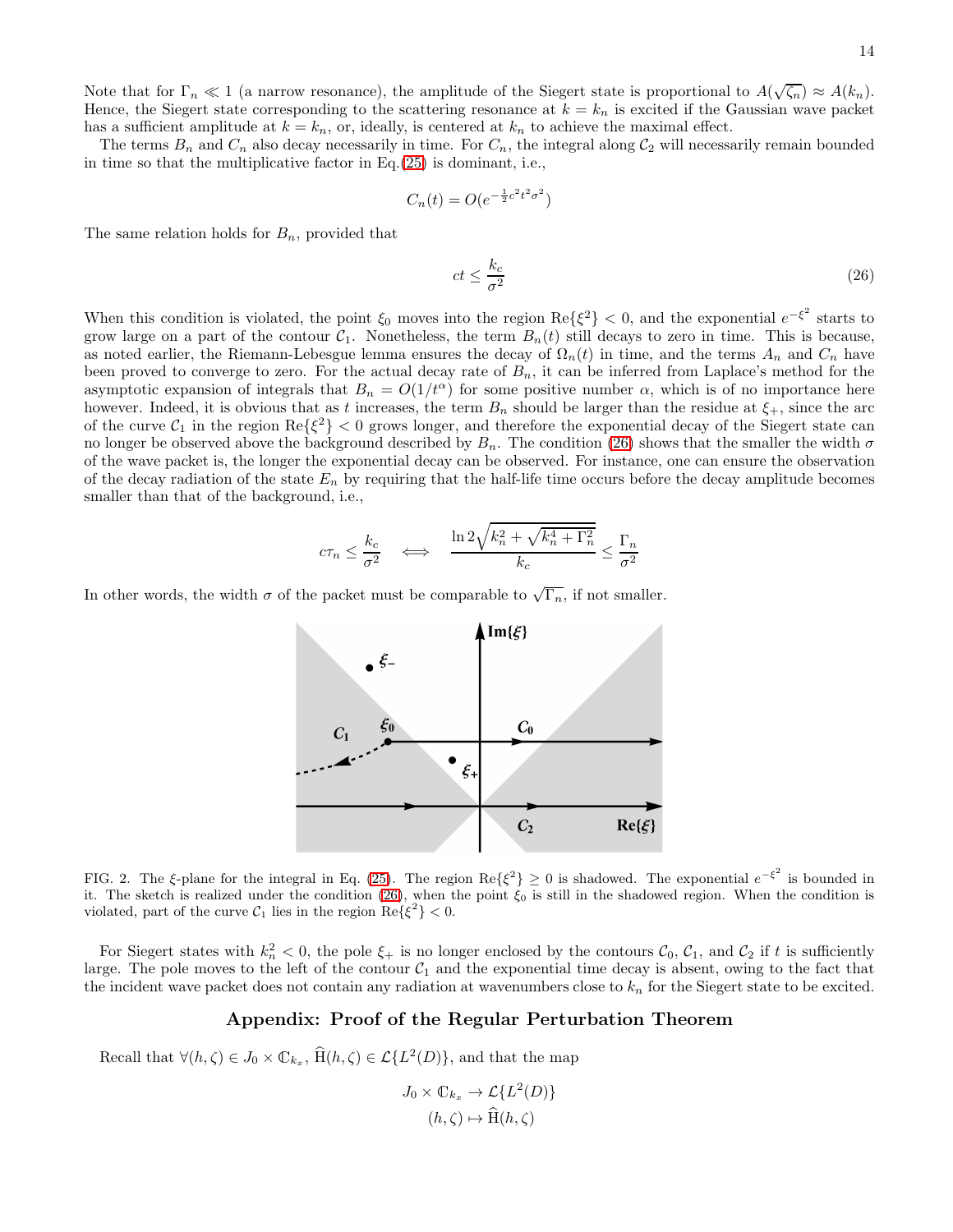14

Note that for  $\Gamma_n \ll 1$  (a narrow resonance), the amplitude of the Siegert state is proportional to  $A(\sqrt{\zeta_n}) \approx A(k_n)$ . Hence, the Siegert state corresponding to the scattering resonance at  $k = k_n$  is excited if the Gaussian wave packet has a sufficient amplitude at  $k = k_n$ , or, ideally, is centered at  $k_n$  to achieve the maximal effect.

The terms  $B_n$  and  $C_n$  also decay necessarily in time. For  $C_n$ , the integral along  $C_2$  will necessarily remain bounded in time so that the multiplicative factor in Eq.[\(25\)](#page-12-1) is dominant, i.e.,

$$
C_n(t) = O(e^{-\frac{1}{2}c^2t^2\sigma^2})
$$

The same relation holds for  $B_n$ , provided that

<span id="page-13-1"></span>
$$
ct \le \frac{k_c}{\sigma^2} \tag{26}
$$

When this condition is violated, the point  $\xi_0$  moves into the region  $\text{Re}\{\xi^2\} < 0$ , and the exponential  $e^{-\xi^2}$  starts to grow large on a part of the contour  $C_1$ . Nonetheless, the term  $B_n(t)$  still decays to zero in time. This is because, as noted earlier, the Riemann-Lebesgue lemma ensures the decay of  $\Omega_n(t)$  in time, and the terms  $A_n$  and  $C_n$  have been proved to converge to zero. For the actual decay rate of  $B_n$ , it can be inferred from Laplace's method for the asymptotic expansion of integrals that  $B_n = O(1/t^{\alpha})$  for some positive number  $\alpha$ , which is of no importance here however. Indeed, it is obvious that as t increases, the term  $B_n$  should be larger than the residue at  $\xi_+$ , since the arc of the curve  $C_1$  in the region  $\text{Re}\{\xi^2\} < 0$  grows longer, and therefore the exponential decay of the Siegert state can no longer be observed above the background described by  $B_n$ . The condition [\(26\)](#page-13-1) shows that the smaller the width  $\sigma$ of the wave packet is, the longer the exponential decay can be observed. For instance, one can ensure the observation of the decay radiation of the state  $E_n$  by requiring that the half-life time occurs before the decay amplitude becomes smaller than that of the background, i.e.,

$$
c\tau_n \le \frac{k_c}{\sigma^2} \quad \Longleftrightarrow \quad \frac{\ln 2\sqrt{k_n^2 + \sqrt{k_n^4 + \Gamma_n^2}}}{k_c} \le \frac{\Gamma_n}{\sigma^2}
$$

In other words, the width  $\sigma$  of the packet must be comparable to  $\sqrt{\Gamma_n}$ , if not smaller.



<span id="page-13-0"></span>FIG. 2. The  $\xi$ -plane for the integral in Eq. [\(25\)](#page-12-1). The region Re $\{\xi^2\} \geq 0$  is shadowed. The exponential  $e^{-\xi^2}$  is bounded in it. The sketch is realized under the condition [\(26\)](#page-13-1), when the point  $\xi_0$  is still in the shadowed region. When the condition is violated, part of the curve  $\mathcal{C}_1$  lies in the region  $\text{Re}\{\xi^2\} < 0$ .

For Siegert states with  $k_n^2 < 0$ , the pole  $\xi_+$  is no longer enclosed by the contours  $\mathcal{C}_0$ ,  $\mathcal{C}_1$ , and  $\mathcal{C}_2$  if t is sufficiently large. The pole moves to the left of the contour  $C_1$  and the exponential time decay is absent, owing to the fact that the incident wave packet does not contain any radiation at wavenumbers close to  $k_n$  for the Siegert state to be excited.

# Appendix: Proof of the Regular Perturbation Theorem

Recall that  $\forall (h, \zeta) \in J_0 \times \mathbb{C}_{k_x}, \, \hat{H}(h, \zeta) \in \mathcal{L}{L^2(D)}$ , and that the map

$$
J_0 \times \mathbb{C}_{k_x} \to \mathcal{L}\{L^2(D)\}
$$

$$
(h,\zeta) \mapsto \widehat{\mathrm{H}}(h,\zeta)
$$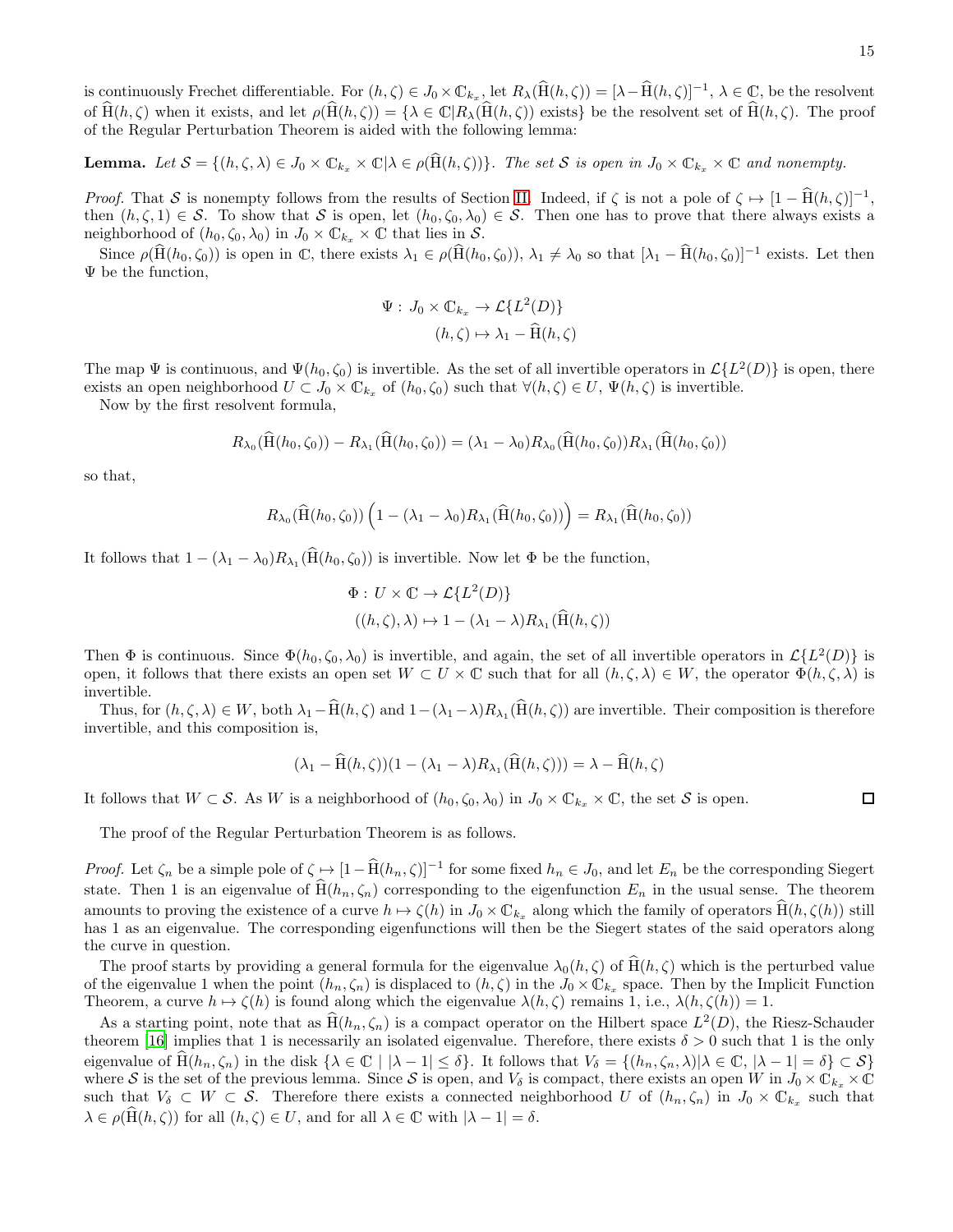is continuously Frechet differentiable. For  $(h, \zeta) \in J_0 \times \mathbb{C}_{k_x}$ , let  $R_\lambda(\hat{H}(h, \zeta)) = [\lambda - \hat{H}(h, \zeta)]^{-1}$ ,  $\lambda \in \mathbb{C}$ , be the resolvent of  $\widehat{H}(h,\zeta)$  when it exists, and let  $\rho(\widehat{H}(h,\zeta)) = {\lambda \in \mathbb{C}} |R_{\lambda}(\widehat{H}(h,\zeta))$  exists} be the resolvent set of  $\widehat{H}(h,\zeta)$ . The proof of the Regular Perturbation Theorem is aided with the following lemma:

**Lemma.** Let  $S = \{(h, \zeta, \lambda) \in J_0 \times \mathbb{C}_{k_x} \times \mathbb{C} | \lambda \in \rho(\widehat{H}(h, \zeta))\}$ . The set S is open in  $J_0 \times \mathbb{C}_{k_x} \times \mathbb{C}$  and nonempty.

*Proof.* That S is nonempty follows from the results of Section [II.](#page-3-0) Indeed, if  $\zeta$  is not a pole of  $\zeta \mapsto [1 - \hat{H}(h, \zeta)]^{-1}$ , then  $(h, \zeta, 1) \in S$ . To show that S is open, let  $(h_0, \zeta_0, \lambda_0) \in S$ . Then one has to prove that there always exists a neighborhood of  $(h_0, \zeta_0, \lambda_0)$  in  $J_0 \times \mathbb{C}_{k_x} \times \mathbb{C}$  that lies in S.

Since  $\rho(\hat{H}(h_0, \zeta_0))$  is open in C, there exists  $\lambda_1 \in \rho(\hat{H}(h_0, \zeta_0)), \lambda_1 \neq \lambda_0$  so that  $[\lambda_1 - \hat{H}(h_0, \zeta_0)]^{-1}$  exists. Let then Ψ be the function,

$$
\Psi: J_0 \times \mathbb{C}_{k_x} \to \mathcal{L}\{L^2(D)\}
$$

$$
(h,\zeta) \mapsto \lambda_1 - \widehat{\mathrm{H}}(h,\zeta)
$$

The map  $\Psi$  is continuous, and  $\Psi(h_0, \zeta_0)$  is invertible. As the set of all invertible operators in  $\mathcal{L}\{L^2(D)\}\$  is open, there exists an open neighborhood  $U \subset J_0 \times \mathbb{C}_{k_x}$  of  $(h_0, \zeta_0)$  such that  $\forall (h, \zeta) \in U$ ,  $\Psi(h, \zeta)$  is invertible.

Now by the first resolvent formula,

$$
R_{\lambda_0}(\dot{H}(h_0,\zeta_0)) - R_{\lambda_1}(\dot{H}(h_0,\zeta_0)) = (\lambda_1 - \lambda_0)R_{\lambda_0}(\dot{H}(h_0,\zeta_0))R_{\lambda_1}(\dot{H}(h_0,\zeta_0))
$$

so that,

$$
R_{\lambda_0}(\widehat{\mathrm{H}}(h_0,\zeta_0))\left(1-(\lambda_1-\lambda_0)R_{\lambda_1}(\widehat{\mathrm{H}}(h_0,\zeta_0))\right)=R_{\lambda_1}(\widehat{\mathrm{H}}(h_0,\zeta_0))
$$

It follows that  $1 - (\lambda_1 - \lambda_0) R_{\lambda_1}(\text{H}(h_0, \zeta_0))$  is invertible. Now let  $\Phi$  be the function,

$$
\Phi: U \times \mathbb{C} \to \mathcal{L}\{L^2(D)\}
$$

$$
((h,\zeta),\lambda) \mapsto 1 - (\lambda_1 - \lambda)R_{\lambda_1}(\widehat{\mathrm{H}}(h,\zeta))
$$

Then  $\Phi$  is continuous. Since  $\Phi(h_0, \zeta_0, \lambda_0)$  is invertible, and again, the set of all invertible operators in  $\mathcal{L}\{L^2(D)\}$  is open, it follows that there exists an open set  $W \subset U \times \mathbb{C}$  such that for all  $(h, \zeta, \lambda) \in W$ , the operator  $\Phi(h, \zeta, \lambda)$  is invertible.

Thus, for  $(h, \zeta, \lambda) \in W$ , both  $\lambda_1 - H(h, \zeta)$  and  $1 - (\lambda_1 - \lambda) R_{\lambda_1}(H(h, \zeta))$  are invertible. Their composition is therefore invertible, and this composition is,

$$
(\lambda_1 - \widehat{H}(h,\zeta))(1 - (\lambda_1 - \lambda)R_{\lambda_1}(\widehat{H}(h,\zeta))) = \lambda - \widehat{H}(h,\zeta)
$$

It follows that  $W \subset \mathcal{S}$ . As W is a neighborhood of  $(h_0, \zeta_0, \lambda_0)$  in  $J_0 \times \mathbb{C}_{k_x} \times \mathbb{C}$ , the set  $\mathcal{S}$  is open.

The proof of the Regular Perturbation Theorem is as follows.

*Proof.* Let  $\zeta_n$  be a simple pole of  $\zeta \mapsto [1 - \hat{H}(h_n, \zeta)]^{-1}$  for some fixed  $h_n \in J_0$ , and let  $E_n$  be the corresponding Siegert state. Then 1 is an eigenvalue of  $\widehat{H}(h_n, \zeta_n)$  corresponding to the eigenfunction  $E_n$  in the usual sense. The theorem amounts to proving the existence of a curve  $h \mapsto \zeta(h)$  in  $J_0 \times \mathbb{C}_{k_x}$  along which the family of operators  $\hat{H}(h, \zeta(h))$  still has 1 as an eigenvalue. The corresponding eigenfunctions will then be the Siegert states of the said operators along the curve in question.

The proof starts by providing a general formula for the eigenvalue  $\lambda_0(h,\zeta)$  of  $\widehat{H}(h,\zeta)$  which is the perturbed value of the eigenvalue 1 when the point  $(h_n, \zeta_n)$  is displaced to  $(h, \zeta)$  in the  $J_0 \times \mathbb{C}_{k_x}$  space. Then by the Implicit Function Theorem, a curve  $h \mapsto \zeta(h)$  is found along which the eigenvalue  $\lambda(h, \zeta)$  remains 1, i.e.,  $\lambda(h, \zeta(h)) = 1$ .

As a starting point, note that as  $\hat{H}(h_n, \zeta_n)$  is a compact operator on the Hilbert space  $L^2(D)$ , the Riesz-Schauder theorem [\[16\]](#page-16-15) implies that 1 is necessarily an isolated eigenvalue. Therefore, there exists  $\delta > 0$  such that 1 is the only eigenvalue of  $H(h_n, \zeta_n)$  in the disk  $\{\lambda \in \mathbb{C} \mid |\lambda - 1| \le \delta\}$ . It follows that  $V_\delta = \{(h_n, \zeta_n, \lambda) | \lambda \in \mathbb{C}, |\lambda - 1| = \delta\} \subset \mathcal{S}\}$ where S is the set of the previous lemma. Since S is open, and  $V_{\delta}$  is compact, there exists an open W in  $J_0 \times \mathbb{C}_{k_x} \times \mathbb{C}_{k_y}$ such that  $V_{\delta} \subset W \subset \mathcal{S}$ . Therefore there exists a connected neighborhood U of  $(h_n, \zeta_n)$  in  $J_0 \times \mathbb{C}_{k_x}$  such that  $\lambda \in \rho(\mathcal{H}(h,\zeta))$  for all  $(h,\zeta) \in U$ , and for all  $\lambda \in \mathbb{C}$  with  $|\lambda - 1| = \delta$ .

 $\Box$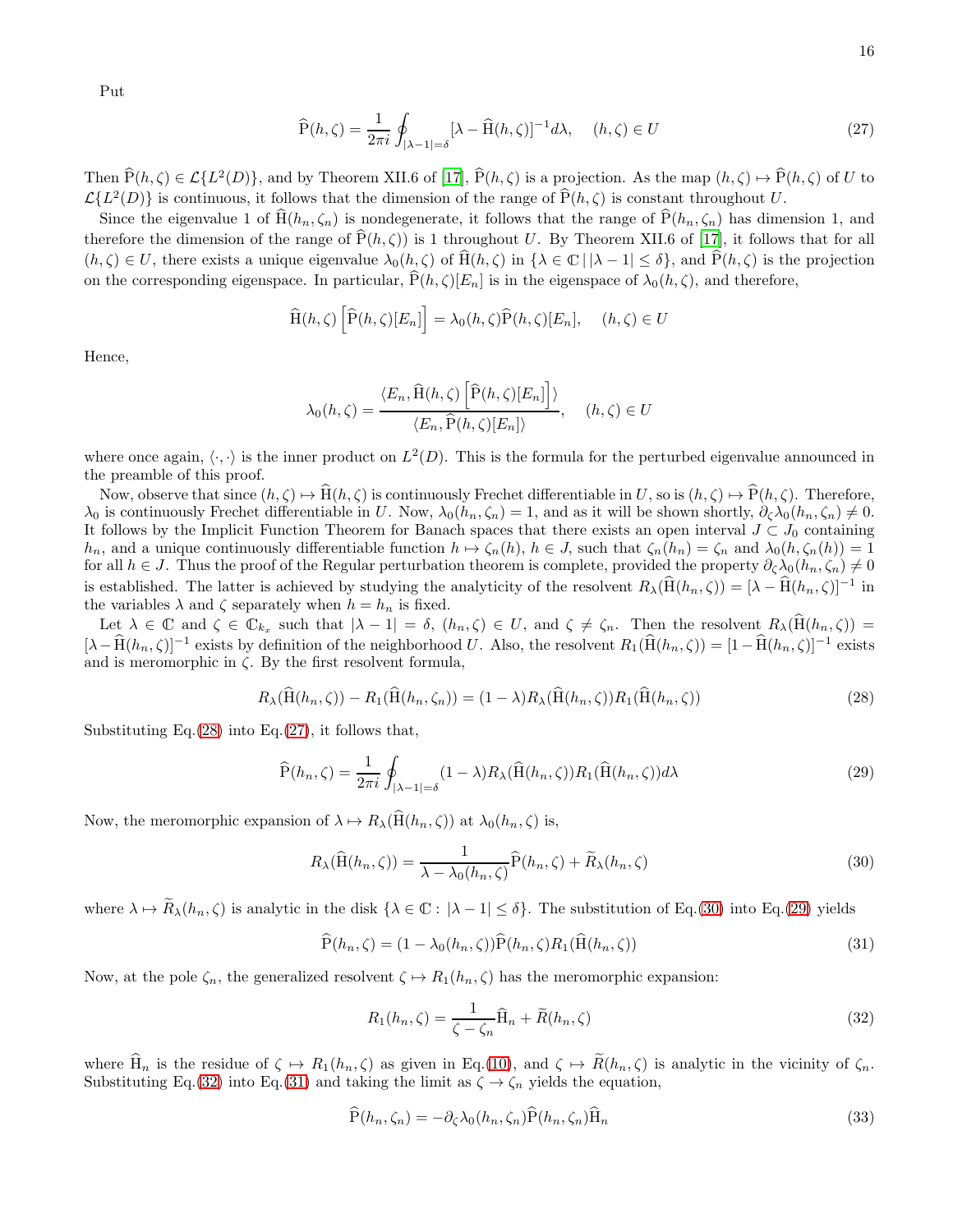Put

<span id="page-15-1"></span>
$$
\widehat{\mathbf{P}}(h,\zeta) = \frac{1}{2\pi i} \oint_{|\lambda-1|=\delta} [\lambda - \widehat{\mathbf{H}}(h,\zeta)]^{-1} d\lambda, \quad (h,\zeta) \in U
$$
\n(27)

Then  $\hat{P}(h,\zeta) \in \mathcal{L}\{L^2(D)\}\text{, and by Theorem XII.6 of [17], } \hat{P}(h,\zeta) \text{ is a projection. As the map } (h,\zeta) \mapsto \hat{P}(h,\zeta) \text{ of } U \text{ to } \zeta$  $\hat{P}(h,\zeta) \in \mathcal{L}\{L^2(D)\}\text{, and by Theorem XII.6 of [17], } \hat{P}(h,\zeta) \text{ is a projection. As the map } (h,\zeta) \mapsto \hat{P}(h,\zeta) \text{ of } U \text{ to } \zeta$  $\hat{P}(h,\zeta) \in \mathcal{L}\{L^2(D)\}\text{, and by Theorem XII.6 of [17], } \hat{P}(h,\zeta) \text{ is a projection. As the map } (h,\zeta) \mapsto \hat{P}(h,\zeta) \text{ of } U \text{ to } \zeta$  $\mathcal{L}{L^2(D)}$  is continuous, it follows that the dimension of the range of  $\hat{P}(h,\zeta)$  is constant throughout U.

Since the eigenvalue 1 of  $\text{H}(h_n, \zeta_n)$  is nondegenerate, it follows that the range of  $\text{P}(h_n, \zeta_n)$  has dimension 1, and therefore the dimension of the range of  $\widehat{P}(h,\zeta)$  is 1 throughout U. By Theorem XII.6 of [\[17\]](#page-16-13), it follows that for all  $(h, \zeta) \in U$ , there exists a unique eigenvalue  $\lambda_0(h, \zeta)$  of  $\widehat{H}(h, \zeta)$  in  $\{\lambda \in \mathbb{C} \mid |\lambda - 1| \leq \delta\}$ , and  $\widehat{P}(h, \zeta)$  is the projection on the corresponding eigenspace. In particular,  $\tilde{P}(h,\zeta)[E_n]$  is in the eigenspace of  $\lambda_0(h,\zeta)$ , and therefore,

$$
\widehat{H}(h,\zeta)\left[\widehat{P}(h,\zeta)[E_n]\right] = \lambda_0(h,\zeta)\widehat{P}(h,\zeta)[E_n], \quad (h,\zeta) \in U
$$

Hence,

$$
\lambda_0(h,\zeta) = \frac{\langle E_n, \widehat{\mathcal{H}}(h,\zeta) \left[ \widehat{\mathcal{P}}(h,\zeta)[E_n] \right] \rangle}{\langle E_n, \widehat{\mathcal{P}}(h,\zeta)[E_n] \rangle}, \quad (h,\zeta) \in U
$$

where once again,  $\langle \cdot, \cdot \rangle$  is the inner product on  $L^2(D)$ . This is the formula for the perturbed eigenvalue announced in the preamble of this proof.

Now, observe that since  $(h, \zeta) \mapsto \widehat{H}(h, \zeta)$  is continuously Frechet differentiable in U, so is  $(h, \zeta) \mapsto \widehat{P}(h, \zeta)$ . Therefore,  $\lambda_0$  is continuously Frechet differentiable in U. Now,  $\lambda_0(h_n, \zeta_n) = 1$ , and as it will be shown shortly,  $\partial_{\zeta} \lambda_0(h_n, \zeta_n) \neq 0$ . It follows by the Implicit Function Theorem for Banach spaces that there exists an open interval  $J \subset J_0$  containing  $h_n$ , and a unique continuously differentiable function  $h \mapsto \zeta_n(h)$ ,  $h \in J$ , such that  $\zeta_n(h_n) = \zeta_n$  and  $\lambda_0(h, \zeta_n(h)) = 1$ for all  $h \in J$ . Thus the proof of the Regular perturbation theorem is complete, provided the property  $\partial_{\zeta}\lambda_0(h_n,\zeta_n) \neq 0$ is established. The latter is achieved by studying the analyticity of the resolvent  $R_{\lambda}(\widehat{H}(h_n,\zeta)) = [\lambda - \widehat{H}(h_n,\zeta)]^{-1}$  in the variables  $\lambda$  and  $\zeta$  separately when  $h = h_n$  is fixed.

Let  $\lambda \in \mathbb{C}$  and  $\zeta \in \mathbb{C}_{k_x}$  such that  $|\lambda - 1| = \delta$ ,  $(h_n, \zeta) \in U$ , and  $\zeta \neq \zeta_n$ . Then the resolvent  $R_{\lambda}(\mathcal{H}(h_n, \zeta)) =$  $[\lambda-\hat{H}(h_n,\zeta)]^{-1}$  exists by definition of the neighborhood U. Also, the resolvent  $R_1(\hat{H}(h_n,\zeta))=[1-\hat{H}(h_n,\zeta)]^{-1}$  exists and is meromorphic in  $\zeta$ . By the first resolvent formula,

<span id="page-15-0"></span>
$$
R_{\lambda}(\widehat{\mathcal{H}}(h_n,\zeta)) - R_1(\widehat{\mathcal{H}}(h_n,\zeta_n)) = (1-\lambda)R_{\lambda}(\widehat{\mathcal{H}}(h_n,\zeta))R_1(\widehat{\mathcal{H}}(h_n,\zeta))
$$
\n(28)

Substituting Eq. $(28)$  into Eq. $(27)$ , it follows that,

<span id="page-15-3"></span>
$$
\widehat{P}(h_n,\zeta) = \frac{1}{2\pi i} \oint_{|\lambda-1|=\delta} (1-\lambda) R_\lambda(\widehat{H}(h_n,\zeta)) R_1(\widehat{H}(h_n,\zeta)) d\lambda \tag{29}
$$

Now, the meromorphic expansion of  $\lambda \mapsto R_{\lambda}(\widehat{H}(h_n, \zeta))$  at  $\lambda_0(h_n, \zeta)$  is,

<span id="page-15-2"></span>
$$
R_{\lambda}(\widehat{\mathcal{H}}(h_n,\zeta)) = \frac{1}{\lambda - \lambda_0(h_n,\zeta)} \widehat{\mathcal{P}}(h_n,\zeta) + \widetilde{R}_{\lambda}(h_n,\zeta)
$$
\n(30)

where  $\lambda \mapsto \widetilde{R}_{\lambda}(h_n, \zeta)$  is analytic in the disk  $\{\lambda \in \mathbb{C} : |\lambda - 1| \le \delta\}$ . The substitution of Eq.[\(30\)](#page-15-2) into Eq.[\(29\)](#page-15-3) yields

<span id="page-15-5"></span>
$$
\widehat{P}(h_n, \zeta) = (1 - \lambda_0(h_n, \zeta))\widehat{P}(h_n, \zeta)R_1(\widehat{H}(h_n, \zeta))
$$
\n(31)

Now, at the pole  $\zeta_n$ , the generalized resolvent  $\zeta \mapsto R_1(h_n, \zeta)$  has the meromorphic expansion:

<span id="page-15-4"></span>
$$
R_1(h_n, \zeta) = \frac{1}{\zeta - \zeta_n} \widehat{H}_n + \widetilde{R}(h_n, \zeta)
$$
\n(32)

where  $\widehat{H}_n$  is the residue of  $\zeta \mapsto R_1(h_n, \zeta)$  as given in Eq.[\(10\)](#page-5-1), and  $\zeta \mapsto \widetilde{R}(h_n, \zeta)$  is analytic in the vicinity of  $\zeta_n$ . Substituting Eq.[\(32\)](#page-15-4) into Eq.[\(31\)](#page-15-5) and taking the limit as  $\zeta \to \zeta_n$  yields the equation,

<span id="page-15-6"></span>
$$
\mathbf{P}(h_n, \zeta_n) = -\partial_{\zeta} \lambda_0(h_n, \zeta_n) \mathbf{P}(h_n, \zeta_n) \mathbf{H}_n
$$
\n(33)